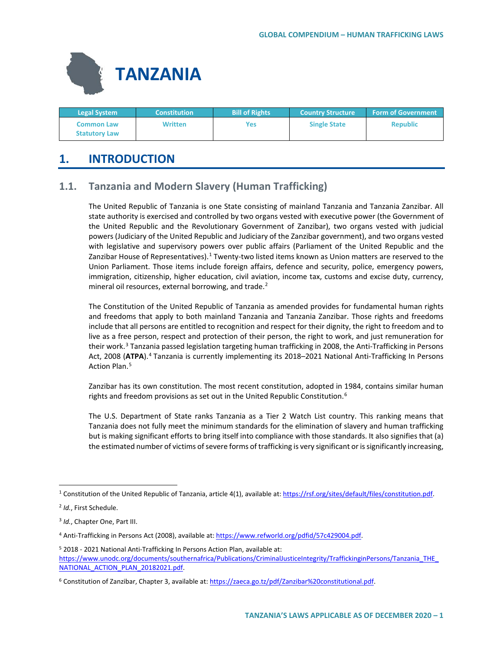

| <b>Legal System</b>                       | <b>Constitution</b> | <b>Bill of Rights</b> | <b>Country Structure</b> | <b>Form of Government</b> |
|-------------------------------------------|---------------------|-----------------------|--------------------------|---------------------------|
| <b>Common Law</b><br><b>Statutory Law</b> | Written             | Yes                   | <b>Single State</b>      | <b>Republic</b>           |

# **1. INTRODUCTION**

# **1.1. Tanzania and Modern Slavery (Human Trafficking)**

The United Republic of Tanzania is one State consisting of mainland Tanzania and Tanzania Zanzibar. All state authority is exercised and controlled by two organs vested with executive power (the Government of the United Republic and the Revolutionary Government of Zanzibar), two organs vested with judicial powers (Judiciary of the United Republic and Judiciary of the Zanzibar government), and two organs vested with legislative and supervisory powers over public affairs (Parliament of the United Republic and the Zanzibar House of Representatives).<sup>[1](#page-0-0)</sup> Twenty-two listed items known as Union matters are reserved to the Union Parliament. Those items include foreign affairs, defence and security, police, emergency powers, immigration, citizenship, higher education, civil aviation, income tax, customs and excise duty, currency, mineral oil resources, external borrowing, and trade. $2$ 

The Constitution of the United Republic of Tanzania as amended provides for fundamental human rights and freedoms that apply to both mainland Tanzania and Tanzania Zanzibar. Those rights and freedoms include that all persons are entitled to recognition and respect for their dignity, the right to freedom and to live as a free person, respect and protection of their person, the right to work, and just remuneration for their work.<sup>[3](#page-0-2)</sup> Tanzania passed legislation targeting human trafficking in 2008, the Anti-Trafficking in Persons Act, 2008 (**ATPA**).[4](#page-0-3) Tanzania is currently implementing its 2018–2021 National Anti-Trafficking In Persons Action Plan.<sup>[5](#page-0-4)</sup>

Zanzibar has its own constitution. The most recent constitution, adopted in 1984, contains similar human rights and freedom provisions as set out in the United Republic Constitution.<sup>[6](#page-0-5)</sup>

The U.S. Department of State ranks Tanzania as a Tier 2 Watch List country. This ranking means that Tanzania does not fully meet the minimum standards for the elimination of slavery and human trafficking but is making significant efforts to bring itself into compliance with those standards. It also signifies that (a) the estimated number of victims of severe forms of trafficking is very significant or is significantly increasing,

<span id="page-0-0"></span> <sup>1</sup> Constitution of the United Republic of Tanzania, article 4(1), available at[: https://rsf.org/sites/default/files/constitution.pdf.](https://rsf.org/sites/default/files/constitution.pdf)

<span id="page-0-1"></span><sup>2</sup> *Id.*, First Schedule.

<span id="page-0-2"></span><sup>3</sup> *Id.*, Chapter One, Part III.

<span id="page-0-3"></span><sup>&</sup>lt;sup>4</sup> Anti-Trafficking in Persons Act (2008), available at[: https://www.refworld.org/pdfid/57c429004.pdf.](https://www.refworld.org/pdfid/57c429004.pdf)

<span id="page-0-4"></span><sup>5</sup> 2018 - 2021 National Anti-Trafficking In Persons Action Plan, available at: [https://www.unodc.org/documents/southernafrica/Publications/CriminalJusticeIntegrity/TraffickinginPersons/Tanzania\\_THE\\_](https://www.unodc.org/documents/southernafrica/Publications/CriminalJusticeIntegrity/TraffickinginPersons/Tanzania_THE_NATIONAL_ACTION_PLAN_20182021.pdf) NATIONAL ACTION PLAN 20182021.pdf.

<span id="page-0-5"></span><sup>&</sup>lt;sup>6</sup> Constitution of Zanzibar, Chapter 3, available at[: https://zaeca.go.tz/pdf/Zanzibar%20constitutional.pdf.](https://zaeca.go.tz/pdf/Zanzibar%20constitutional.pdf)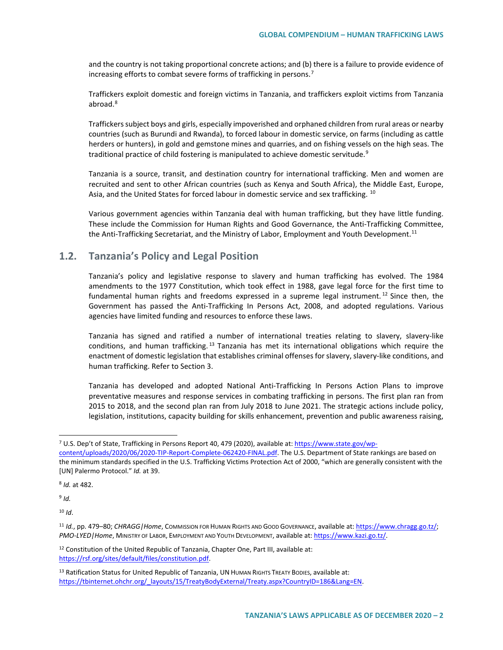and the country is not taking proportional concrete actions; and (b) there is a failure to provide evidence of increasing efforts to combat severe forms of trafficking in persons.<sup>[7](#page-1-0)</sup>

Traffickers exploit domestic and foreign victims in Tanzania, and traffickers exploit victims from Tanzania abroad.<sup>[8](#page-1-1)</sup>

Traffickers subject boys and girls, especially impoverished and orphaned children from rural areas or nearby countries (such as Burundi and Rwanda), to forced labour in domestic service, on farms (including as cattle herders or hunters), in gold and gemstone mines and quarries, and on fishing vessels on the high seas. The traditional practice of child fostering is manipulated to achieve domestic servitude.<sup>[9](#page-1-2)</sup>

Tanzania is a source, transit, and destination country for international trafficking. Men and women are recruited and sent to other African countries (such as Kenya and South Africa), the Middle East, Europe, Asia, and the United States for forced labour in domestic service and sex trafficking. <sup>[10](#page-1-3)</sup>

Various government agencies within Tanzania deal with human trafficking, but they have little funding. These include the Commission for Human Rights and Good Governance, the Anti-Trafficking Committee, the Anti-Trafficking Secretariat, and the Ministry of Labor, Employment and Youth Development.<sup>[11](#page-1-4)</sup>

### **1.2. Tanzania's Policy and Legal Position**

Tanzania's policy and legislative response to slavery and human trafficking has evolved. The 1984 amendments to the 1977 Constitution, which took effect in 1988, gave legal force for the first time to fundamental human rights and freedoms expressed in a supreme legal instrument.<sup>[12](#page-1-5)</sup> Since then, the Government has passed the Anti-Trafficking In Persons Act, 2008, and adopted regulations. Various agencies have limited funding and resources to enforce these laws.

Tanzania has signed and ratified a number of international treaties relating to slavery, slavery-like conditions, and human trafficking. [13](#page-1-6) Tanzania has met its international obligations which require the enactment of domestic legislation that establishes criminal offenses for slavery, slavery-like conditions, and human trafficking. Refer to Section 3.

Tanzania has developed and adopted National Anti-Trafficking In Persons Action Plans to improve preventative measures and response services in combating trafficking in persons. The first plan ran from 2015 to 2018, and the second plan ran from July 2018 to June 2021. The strategic actions include policy, legislation, institutions, capacity building for skills enhancement, prevention and public awareness raising,

<span id="page-1-1"></span><sup>8</sup> *Id.* at 482.

<span id="page-1-2"></span> $9$  *Id.* 

<span id="page-1-3"></span><sup>10</sup> *Id*.

<span id="page-1-0"></span> <sup>7</sup> U.S. Dep't of State, Trafficking in Persons Report 40, 479 (2020), available at: [https://www.state.gov/wp](https://www.state.gov/wp-content/uploads/2020/06/2020-TIP-Report-Complete-062420-FINAL.pdf)[content/uploads/2020/06/2020-TIP-Report-Complete-062420-FINAL.pdf.](https://www.state.gov/wp-content/uploads/2020/06/2020-TIP-Report-Complete-062420-FINAL.pdf) The U.S. Department of State rankings are based on the minimum standards specified in the U.S. Trafficking Victims Protection Act of 2000, "which are generally consistent with the [UN] Palermo Protocol." *Id.* at 39.

<span id="page-1-4"></span><sup>11</sup> *Id.*, pp. 479–80; *CHRAGG|Home*, COMMISSION FOR HUMAN RIGHTS AND GOOD GOVERNANCE, available at[: https://www.chragg.go.tz/;](https://www.chragg.go.tz/) *PMO-LYED|Home*, MINISTRY OF LABOR, EMPLOYMENT AND YOUTH DEVELOPMENT, available at[: https://www.kazi.go.tz/.](https://www.kazi.go.tz/)

<span id="page-1-5"></span><sup>&</sup>lt;sup>12</sup> Constitution of the United Republic of Tanzania, Chapter One, Part III, available at: [https://rsf.org/sites/default/files/constitution.pdf.](https://rsf.org/sites/default/files/constitution.pdf) 

<span id="page-1-6"></span><sup>13</sup> Ratification Status for United Republic of Tanzania, UN HUMAN RIGHTS TREATY BODIES, available at: [https://tbinternet.ohchr.org/\\_layouts/15/TreatyBodyExternal/Treaty.aspx?CountryID=186&Lang=EN.](https://tbinternet.ohchr.org/_layouts/15/TreatyBodyExternal/Treaty.aspx?CountryID=186&Lang=EN)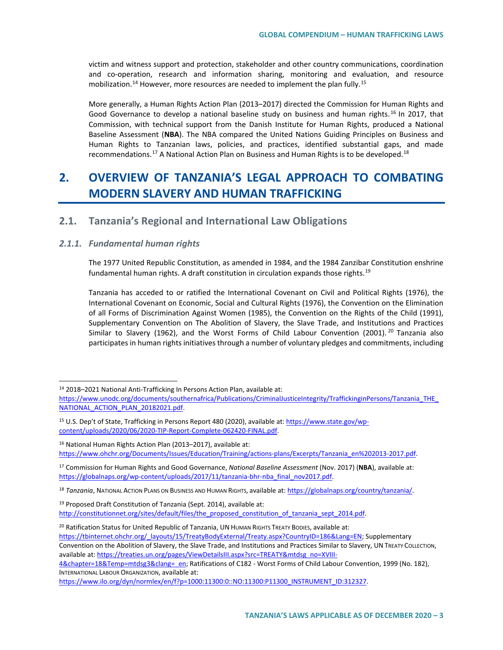victim and witness support and protection, stakeholder and other country communications, coordination and co-operation, research and information sharing, monitoring and evaluation, and resource mobilization.<sup>[14](#page-2-0)</sup> However, more resources are needed to implement the plan fully.<sup>[15](#page-2-1)</sup>

More generally, a Human Rights Action Plan (2013–2017) directed the Commission for Human Rights and Good Governance to develop a national baseline study on business and human rights.<sup>[16](#page-2-2)</sup> In 2017, that Commission, with technical support from the Danish Institute for Human Rights, produced a National Baseline Assessment (**NBA**). The NBA compared the United Nations Guiding Principles on Business and Human Rights to Tanzanian laws, policies, and practices, identified substantial gaps, and made recommendations.<sup>[17](#page-2-3)</sup> A National Action Plan on Business and Human Rights is to be developed.<sup>[18](#page-2-4)</sup>

# **2. OVERVIEW OF TANZANIA'S LEGAL APPROACH TO COMBATING MODERN SLAVERY AND HUMAN TRAFFICKING**

# **2.1. Tanzania's Regional and International Law Obligations**

### *2.1.1. Fundamental human rights*

The 1977 United Republic Constitution, as amended in 1984, and the 1984 Zanzibar Constitution enshrine fundamental human rights. A draft constitution in circulation expands those rights.<sup>[19](#page-2-5)</sup>

Tanzania has acceded to or ratified the International Covenant on Civil and Political Rights (1976), the International Covenant on Economic, Social and Cultural Rights (1976), the Convention on the Elimination of all Forms of Discrimination Against Women (1985), the Convention on the Rights of the Child (1991), Supplementary Convention on The Abolition of Slavery, the Slave Trade, and Institutions and Practices Similar to Slavery (1962), and the Worst Forms of Child Labour Convention ([20](#page-2-6)01). <sup>20</sup> Tanzania also participates in human rights initiatives through a number of voluntary pledges and commitments, including

<span id="page-2-6"></span><sup>20</sup> Ratification Status for United Republic of Tanzania, UN HUMAN RIGHTS TREATY BODIES, available at: [https://tbinternet.ohchr.org/\\_layouts/15/TreatyBodyExternal/Treaty.aspx?CountryID=186&Lang=EN;](https://tbinternet.ohchr.org/_layouts/15/TreatyBodyExternal/Treaty.aspx?CountryID=186&Lang=EN) Supplementary Convention on the Abolition of Slavery, the Slave Trade, and Institutions and Practices Similar to Slavery, UN TREATY COLLECTION, available at[: https://treaties.un.org/pages/ViewDetailsIII.aspx?src=TREATY&mtdsg\\_no=XVIII-](https://treaties.un.org/pages/ViewDetailsIII.aspx?src=TREATY&mtdsg_no=XVIII-4&chapter=18&Temp=mtdsg3&clang=_en)

<span id="page-2-0"></span> <sup>14</sup> 2018–2021 National Anti-Trafficking In Persons Action Plan, available at: [https://www.unodc.org/documents/southernafrica/Publications/CriminalJusticeIntegrity/TraffickinginPersons/Tanzania\\_THE\\_](https://www.unodc.org/documents/southernafrica/Publications/CriminalJusticeIntegrity/TraffickinginPersons/Tanzania_THE_NATIONAL_ACTION_PLAN_20182021.pdf) NATIONAL ACTION PLAN 20182021.pdf.

<span id="page-2-1"></span><sup>15</sup> U.S. Dep't of State, Trafficking in Persons Report 480 (2020), available at: [https://www.state.gov/wp](https://www.state.gov/wp-content/uploads/2020/06/2020-TIP-Report-Complete-062420-FINAL.pdf)[content/uploads/2020/06/2020-TIP-Report-Complete-062420-FINAL.pdf.](https://www.state.gov/wp-content/uploads/2020/06/2020-TIP-Report-Complete-062420-FINAL.pdf)

<span id="page-2-2"></span><sup>16</sup> National Human Rights Action Plan (2013–2017), available at: [https://www.ohchr.org/Documents/Issues/Education/Training/actions-plans/Excerpts/Tanzania\\_en%202013-2017.pdf.](https://www.ohchr.org/Documents/Issues/Education/Training/actions-plans/Excerpts/Tanzania_en%202013-2017.pdf) 

<span id="page-2-3"></span><sup>17</sup> Commission for Human Rights and Good Governance, *National Baseline Assessment* (Nov. 2017) (**NBA**), available at: https://globalnaps.org/wp-content/uploads/2017/11/tanzania-bhr-nba\_final\_nov2017.pdf.

<span id="page-2-4"></span><sup>18</sup> *Tanzania*, NATIONAL ACTION PLANS ON BUSINESS AND HUMAN RIGHTS, available at: [https://globalnaps.org/country/tanzania/.](https://globalnaps.org/country/tanzania/)

<span id="page-2-5"></span><sup>&</sup>lt;sup>19</sup> Proposed Draft Constitution of Tanzania (Sept. 2014), available at: [http://constitutionnet.org/sites/default/files/the\\_proposed\\_constitution\\_of\\_tanzania\\_sept\\_2014.pdf.](http://constitutionnet.org/sites/default/files/the_proposed_constitution_of_tanzania_sept_2014.pdf)

[<sup>4&</sup>amp;chapter=18&Temp=mtdsg3&clang=\\_en;](https://treaties.un.org/pages/ViewDetailsIII.aspx?src=TREATY&mtdsg_no=XVIII-4&chapter=18&Temp=mtdsg3&clang=_en) Ratifications of C182 - Worst Forms of Child Labour Convention, 1999 (No. 182), INTERNATIONAL LABOUR ORGANIZATION, available at:

[https://www.ilo.org/dyn/normlex/en/f?p=1000:11300:0::NO:11300:P11300\\_INSTRUMENT\\_ID:312327.](https://www.ilo.org/dyn/normlex/en/f?p=1000:11300:0::NO:11300:P11300_INSTRUMENT_ID:312327)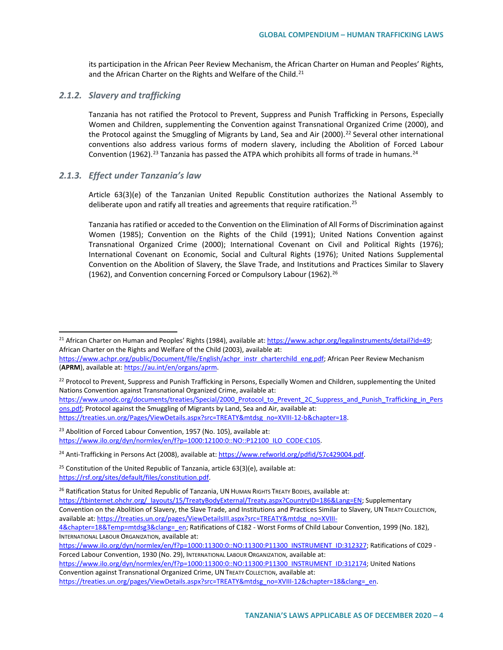its participation in the African Peer Review Mechanism, the African Charter on Human and Peoples' Rights, and the African Charter on the Rights and Welfare of the Child.<sup>[21](#page-3-0)</sup>

#### *2.1.2. Slavery and trafficking*

Tanzania has not ratified the Protocol to Prevent, Suppress and Punish Trafficking in Persons, Especially Women and Children, supplementing the Convention against Transnational Organized Crime (2000), and the Protocol against the Smuggling of Migrants by Land, Sea and Air (2000).<sup>[22](#page-3-1)</sup> Several other international conventions also address various forms of modern slavery, including the Abolition of Forced Labour Convention (1962).<sup>[23](#page-3-2)</sup> Tanzania has passed the ATPA which prohibits all forms of trade in humans.<sup>[24](#page-3-3)</sup>

### *2.1.3. Effect under Tanzania's law*

Article 63(3)(e) of the Tanzanian United Republic Constitution authorizes the National Assembly to deliberate upon and ratify all treaties and agreements that require ratification.<sup>[25](#page-3-4)</sup>

Tanzania has ratified or acceded to the Convention on the Elimination of All Forms of Discrimination against Women (1985); Convention on the Rights of the Child (1991); United Nations Convention against Transnational Organized Crime (2000); International Covenant on Civil and Political Rights (1976); International Covenant on Economic, Social and Cultural Rights (1976); United Nations Supplemental Convention on the Abolition of Slavery, the Slave Trade, and Institutions and Practices Similar to Slavery (1962), and Convention concerning Forced or Compulsory Labour (1962).<sup>[26](#page-3-5)</sup>

[https://www.unodc.org/documents/treaties/Special/2000\\_Protocol\\_to\\_Prevent\\_2C\\_Suppress\\_and\\_Punish\\_Trafficking\\_in\\_Pers](https://www.unodc.org/documents/treaties/Special/2000_Protocol_to_Prevent_2C_Suppress_and_Punish_Trafficking_in_Persons.pdf) [ons.pdf;](https://www.unodc.org/documents/treaties/Special/2000_Protocol_to_Prevent_2C_Suppress_and_Punish_Trafficking_in_Persons.pdf) Protocol against the Smuggling of Migrants by Land, Sea and Air, available at: https://treaties.un.org/Pages/ViewDetails.aspx?src=TREATY&mtdsg\_no=XVIII-12-b&chapter=18.

<span id="page-3-0"></span> <sup>21</sup> African Charter on Human and Peoples' Rights (1984), available at[: https://www.achpr.org/legalinstruments/detail?id=49;](https://www.achpr.org/legalinstruments/detail?id=49) African Charter on the Rights and Welfare of the Child (2003), available at:

[https://www.achpr.org/public/Document/file/English/achpr\\_instr\\_charterchild\\_eng.pdf;](https://www.achpr.org/public/Document/file/English/achpr_instr_charterchild_eng.pdf) African Peer Review Mechanism (**APRM**), available at[: https://au.int/en/organs/aprm.](https://au.int/en/organs/aprm) 

<span id="page-3-1"></span><sup>&</sup>lt;sup>22</sup> Protocol to Prevent, Suppress and Punish Trafficking in Persons, Especially Women and Children, supplementing the United Nations Convention against Transnational Organized Crime, available at:

<span id="page-3-2"></span><sup>&</sup>lt;sup>23</sup> Abolition of Forced Labour Convention, 1957 (No. 105), available at: [https://www.ilo.org/dyn/normlex/en/f?p=1000:12100:0::NO::P12100\\_ILO\\_CODE:C105.](https://www.ilo.org/dyn/normlex/en/f?p=1000:12100:0::NO::P12100_ILO_CODE:C105)

<span id="page-3-3"></span><sup>&</sup>lt;sup>24</sup> Anti-Trafficking in Persons Act (2008), available at[: https://www.refworld.org/pdfid/57c429004.pdf.](https://www.refworld.org/pdfid/57c429004.pdf)

<span id="page-3-4"></span><sup>&</sup>lt;sup>25</sup> Constitution of the United Republic of Tanzania, article  $63(3)(e)$ , available at: [https://rsf.org/sites/default/files/constitution.pdf.](https://rsf.org/sites/default/files/constitution.pdf) 

<span id="page-3-5"></span><sup>&</sup>lt;sup>26</sup> Ratification Status for United Republic of Tanzania, UN HUMAN RIGHTS TREATY BODIES, available at:

[https://tbinternet.ohchr.org/\\_layouts/15/TreatyBodyExternal/Treaty.aspx?CountryID=186&Lang=EN;](https://tbinternet.ohchr.org/_layouts/15/TreatyBodyExternal/Treaty.aspx?CountryID=186&Lang=EN) Supplementary

Convention on the Abolition of Slavery, the Slave Trade, and Institutions and Practices Similar to Slavery, UN TREATY COLLECTION, available at[: https://treaties.un.org/pages/ViewDetailsIII.aspx?src=TREATY&mtdsg\\_no=XVIII-](https://treaties.un.org/pages/ViewDetailsIII.aspx?src=TREATY&mtdsg_no=XVIII-4&chapter=18&Temp=mtdsg3&clang=_en)

[<sup>4&</sup>amp;chapter=18&Temp=mtdsg3&clang=\\_en;](https://treaties.un.org/pages/ViewDetailsIII.aspx?src=TREATY&mtdsg_no=XVIII-4&chapter=18&Temp=mtdsg3&clang=_en) Ratifications of C182 - Worst Forms of Child Labour Convention, 1999 (No. 182), INTERNATIONAL LABOUR ORGANIZATION, available at:

[https://www.ilo.org/dyn/normlex/en/f?p=1000:11300:0::NO:11300:P11300\\_INSTRUMENT\\_ID:312327;](https://www.ilo.org/dyn/normlex/en/f?p=1000:11300:0::NO:11300:P11300_INSTRUMENT_ID:312327) Ratifications of C029 -Forced Labour Convention, 1930 (No. 29), INTERNATIONAL LABOUR ORGANIZATION, available at:

[https://www.ilo.org/dyn/normlex/en/f?p=1000:11300:0::NO:11300:P11300\\_INSTRUMENT\\_ID:312174;](https://www.ilo.org/dyn/normlex/en/f?p=1000:11300:0::NO:11300:P11300_INSTRUMENT_ID:312174) United Nations Convention against Transnational Organized Crime, UN TREATY COLLECTION, available at:

https://treaties.un.org/pages/ViewDetails.aspx?src=TREATY&mtdsg\_no=XVIII-12&chapter=18&clang=\_en.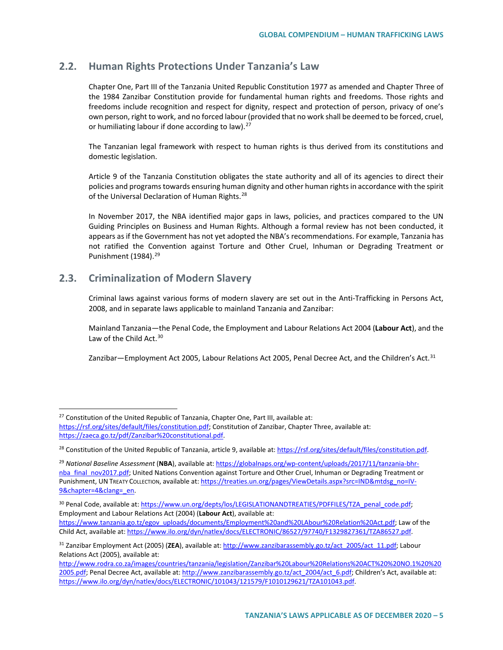# **2.2. Human Rights Protections Under Tanzania's Law**

Chapter One, Part III of the Tanzania United Republic Constitution 1977 as amended and Chapter Three of the 1984 Zanzibar Constitution provide for fundamental human rights and freedoms. Those rights and freedoms include recognition and respect for dignity, respect and protection of person, privacy of one's own person, right to work, and no forced labour (provided that no work shall be deemed to be forced, cruel, or humiliating labour if done according to law).<sup>[27](#page-4-0)</sup>

The Tanzanian legal framework with respect to human rights is thus derived from its constitutions and domestic legislation.

Article 9 of the Tanzania Constitution obligates the state authority and all of its agencies to direct their policies and programs towards ensuring human dignity and other human rights in accordance with the spirit of the Universal Declaration of Human Rights.<sup>[28](#page-4-1)</sup>

In November 2017, the NBA identified major gaps in laws, policies, and practices compared to the UN Guiding Principles on Business and Human Rights. Although a formal review has not been conducted, it appears as if the Government has not yet adopted the NBA's recommendations. For example, Tanzania has not ratified the Convention against Torture and Other Cruel, Inhuman or Degrading Treatment or Punishment (1984).<sup>[29](#page-4-2)</sup>

## **2.3. Criminalization of Modern Slavery**

Criminal laws against various forms of modern slavery are set out in the Anti-Trafficking in Persons Act, 2008, and in separate laws applicable to mainland Tanzania and Zanzibar:

Mainland Tanzania—the Penal Code, the Employment and Labour Relations Act 2004 (**Labour Act**), and the Law of the Child Act.<sup>[30](#page-4-3)</sup>

Zanzibar—Employment Act 2005, Labour Relations Act 2005, Penal Decree Act, and the Children's Act.<sup>[31](#page-4-4)</sup>

<span id="page-4-3"></span><sup>30</sup> Penal Code, available at[: https://www.un.org/depts/los/LEGISLATIONANDTREATIES/PDFFILES/TZA\\_penal\\_code.pdf;](https://www.un.org/depts/los/LEGISLATIONANDTREATIES/PDFFILES/TZA_penal_code.pdf) Employment and Labour Relations Act (2004) (**Labour Act**), available at: [https://www.tanzania.go.tz/egov\\_uploads/documents/Employment%20and%20LAbour%20Relation%20Act.pdf;](https://www.tanzania.go.tz/egov_uploads/documents/Employment%20and%20LAbour%20Relation%20Act.pdf) Law of the Child Act, available at: [https://www.ilo.org/dyn/natlex/docs/ELECTRONIC/86527/97740/F1329827361/TZA86527.pdf.](https://www.ilo.org/dyn/natlex/docs/ELECTRONIC/86527/97740/F1329827361/TZA86527.pdf) 

<span id="page-4-0"></span> $27$  Constitution of the United Republic of Tanzania, Chapter One, Part III, available at: [https://rsf.org/sites/default/files/constitution.pdf;](https://rsf.org/sites/default/files/constitution.pdf) Constitution of Zanzibar, Chapter Three, available at: [https://zaeca.go.tz/pdf/Zanzibar%20constitutional.pdf.](https://zaeca.go.tz/pdf/Zanzibar%20constitutional.pdf)

<span id="page-4-1"></span><sup>&</sup>lt;sup>28</sup> Constitution of the United Republic of Tanzania, article 9, available at[: https://rsf.org/sites/default/files/constitution.pdf.](https://rsf.org/sites/default/files/constitution.pdf)

<span id="page-4-2"></span><sup>29</sup> *National Baseline Assessment* (**NBA**), available at: [https://globalnaps.org/wp-content/uploads/2017/11/tanzania-bhr](https://globalnaps.org/wp-content/uploads/2017/11/tanzania-bhr-nba_final_nov2017.pdf)[nba\\_final\\_nov2017.pdf;](https://globalnaps.org/wp-content/uploads/2017/11/tanzania-bhr-nba_final_nov2017.pdf) United Nations Convention against Torture and Other Cruel, Inhuman or Degrading Treatment or Punishment, UN TREATY COLLECTION, available at[: https://treaties.un.org/pages/ViewDetails.aspx?src=IND&mtdsg\\_no=IV-](https://treaties.un.org/pages/ViewDetails.aspx?src=IND&mtdsg_no=IV-9&chapter=4&clang=_en)9&chapter=4&clang=\_en.

<span id="page-4-4"></span><sup>31</sup> Zanzibar Employment Act (2005) (**ZEA**), available at[: http://www.zanzibarassembly.go.tz/act\\_2005/act\\_11.pdf;](http://www.zanzibarassembly.go.tz/act_2005/act_11.pdf) Labour Relations Act (2005), available at:

[http://www.rodra.co.za/images/countries/tanzania/legislation/Zanzibar%20Labour%20Relations%20ACT%20%20NO.1%20%20](http://www.rodra.co.za/images/countries/tanzania/legislation/Zanzibar%20Labour%20Relations%20ACT%20%20NO.1%20%202005.pdf) [2005.pdf;](http://www.rodra.co.za/images/countries/tanzania/legislation/Zanzibar%20Labour%20Relations%20ACT%20%20NO.1%20%202005.pdf) Penal Decree Act, available at: [http://www.zanzibarassembly.go.tz/act\\_2004/act\\_6.pdf;](http://www.zanzibarassembly.go.tz/act_2004/act_6.pdf) Children's Act, available at: [https://www.ilo.org/dyn/natlex/docs/ELECTRONIC/101043/121579/F1010129621/TZA101043.pdf.](https://www.ilo.org/dyn/natlex/docs/ELECTRONIC/101043/121579/F1010129621/TZA101043.pdf)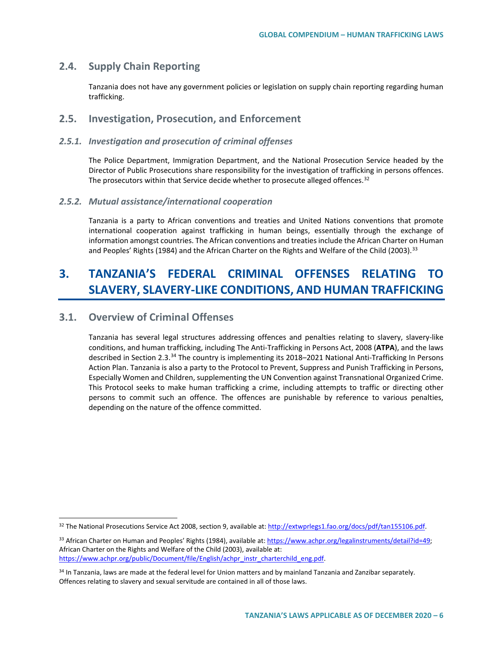## **2.4. Supply Chain Reporting**

Tanzania does not have any government policies or legislation on supply chain reporting regarding human trafficking.

## **2.5. Investigation, Prosecution, and Enforcement**

### *2.5.1. Investigation and prosecution of criminal offenses*

The Police Department, Immigration Department, and the National Prosecution Service headed by the Director of Public Prosecutions share responsibility for the investigation of trafficking in persons offences. The prosecutors within that Service decide whether to prosecute alleged offences.<sup>[32](#page-5-0)</sup>

#### *2.5.2. Mutual assistance/international cooperation*

Tanzania is a party to African conventions and treaties and United Nations conventions that promote international cooperation against trafficking in human beings, essentially through the exchange of information amongst countries. The African conventions and treaties include the African Charter on Human and Peoples' Rights (1984) and the African Charter on the Rights and Welfare of the Child (2003).<sup>[33](#page-5-1)</sup>

# **3. TANZANIA'S FEDERAL CRIMINAL OFFENSES RELATING TO SLAVERY, SLAVERY-LIKE CONDITIONS, AND HUMAN TRAFFICKING**

## **3.1. Overview of Criminal Offenses**

Tanzania has several legal structures addressing offences and penalties relating to slavery, slavery-like conditions, and human trafficking, including The Anti-Trafficking in Persons Act, 2008 (**ATPA**), and the laws described in Section 2.3.<sup>[34](#page-5-2)</sup> The country is implementing its 2018–2021 National Anti-Trafficking In Persons Action Plan. Tanzania is also a party to the Protocol to Prevent, Suppress and Punish Trafficking in Persons, Especially Women and Children, supplementing the UN Convention against Transnational Organized Crime. This Protocol seeks to make human trafficking a crime, including attempts to traffic or directing other persons to commit such an offence. The offences are punishable by reference to various penalties, depending on the nature of the offence committed.

<span id="page-5-0"></span> <sup>32</sup> The National Prosecutions Service Act 2008, section 9, available at[: http://extwprlegs1.fao.org/docs/pdf/tan155106.pdf.](http://extwprlegs1.fao.org/docs/pdf/tan155106.pdf) 

<span id="page-5-1"></span><sup>33</sup> African Charter on Human and Peoples' Rights (1984), available at[: https://www.achpr.org/legalinstruments/detail?id=49;](https://www.achpr.org/legalinstruments/detail?id=49) African Charter on the Rights and Welfare of the Child (2003), available at: [https://www.achpr.org/public/Document/file/English/achpr\\_instr\\_charterchild\\_eng.pdf.](https://www.achpr.org/public/Document/file/English/achpr_instr_charterchild_eng.pdf) 

<span id="page-5-2"></span><sup>&</sup>lt;sup>34</sup> In Tanzania, laws are made at the federal level for Union matters and by mainland Tanzania and Zanzibar separately. Offences relating to slavery and sexual servitude are contained in all of those laws.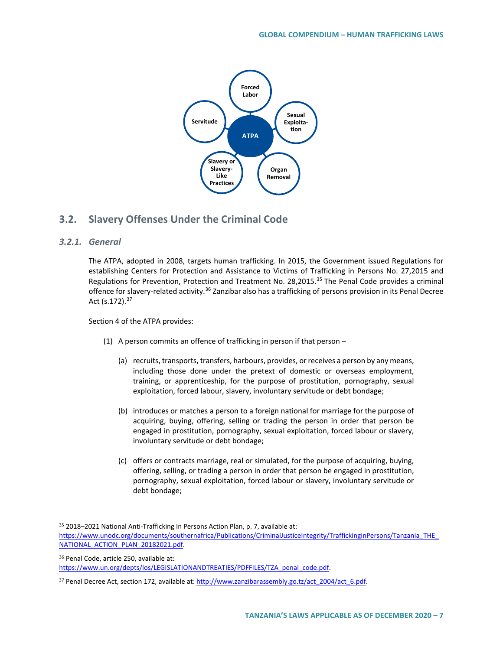

# **3.2. Slavery Offenses Under the Criminal Code**

### *3.2.1. General*

The ATPA, adopted in 2008, targets human trafficking. In 2015, the Government issued Regulations for establishing Centers for Protection and Assistance to Victims of Trafficking in Persons No. 27,2015 and Regulations for Prevention, Protection and Treatment No. 28,2015.<sup>[35](#page-6-0)</sup> The Penal Code provides a criminal offence for slavery-related activity.<sup>[36](#page-6-1)</sup> Zanzibar also has a trafficking of persons provision in its Penal Decree Act (s.172).<sup>[37](#page-6-2)</sup>

Section 4 of the ATPA provides:

- (1) A person commits an offence of trafficking in person if that person  $-$ 
	- (a) recruits, transports, transfers, harbours, provides, or receives a person by any means, including those done under the pretext of domestic or overseas employment, training, or apprenticeship, for the purpose of prostitution, pornography, sexual exploitation, forced labour, slavery, involuntary servitude or debt bondage;
	- (b) introduces or matches a person to a foreign national for marriage for the purpose of acquiring, buying, offering, selling or trading the person in order that person be engaged in prostitution, pornography, sexual exploitation, forced labour or slavery, involuntary servitude or debt bondage;
	- (c) offers or contracts marriage, real or simulated, for the purpose of acquiring, buying, offering, selling, or trading a person in order that person be engaged in prostitution, pornography, sexual exploitation, forced labour or slavery, involuntary servitude or debt bondage;

<span id="page-6-0"></span> <sup>35</sup> 2018–2021 National Anti-Trafficking In Persons Action Plan, p. 7, available at: [https://www.unodc.org/documents/southernafrica/Publications/CriminalJusticeIntegrity/TraffickinginPersons/Tanzania\\_THE\\_](https://www.unodc.org/documents/southernafrica/Publications/CriminalJusticeIntegrity/TraffickinginPersons/Tanzania_THE_NATIONAL_ACTION_PLAN_20182021.pdf) NATIONAL ACTION PLAN 20182021.pdf.

<span id="page-6-1"></span><sup>36</sup> Penal Code, article 250, available at: [https://www.un.org/depts/los/LEGISLATIONANDTREATIES/PDFFILES/TZA\\_penal\\_code.pdf.](https://www.un.org/depts/los/LEGISLATIONANDTREATIES/PDFFILES/TZA_penal_code.pdf) 

<span id="page-6-2"></span><sup>37</sup> Penal Decree Act, section 172, available at: http://www.zanzibarassembly.go.tz/act\_2004/act\_6.pdf.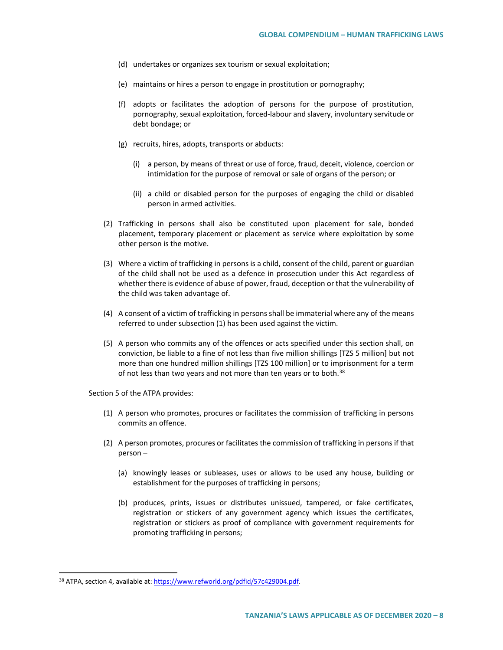- (d) undertakes or organizes sex tourism or sexual exploitation;
- (e) maintains or hires a person to engage in prostitution or pornography;
- (f) adopts or facilitates the adoption of persons for the purpose of prostitution, pornography, sexual exploitation, forced-labour and slavery, involuntary servitude or debt bondage; or
- (g) recruits, hires, adopts, transports or abducts:
	- (i) a person, by means of threat or use of force, fraud, deceit, violence, coercion or intimidation for the purpose of removal or sale of organs of the person; or
	- (ii) a child or disabled person for the purposes of engaging the child or disabled person in armed activities.
- (2) Trafficking in persons shall also be constituted upon placement for sale, bonded placement, temporary placement or placement as service where exploitation by some other person is the motive.
- (3) Where a victim of trafficking in persons is a child, consent of the child, parent or guardian of the child shall not be used as a defence in prosecution under this Act regardless of whether there is evidence of abuse of power, fraud, deception or that the vulnerability of the child was taken advantage of.
- (4) A consent of a victim of trafficking in persons shall be immaterial where any of the means referred to under subsection (1) has been used against the victim.
- (5) A person who commits any of the offences or acts specified under this section shall, on conviction, be liable to a fine of not less than five million shillings [TZS 5 million] but not more than one hundred million shillings [TZS 100 million] or to imprisonment for a term of not less than two years and not more than ten years or to both.<sup>[38](#page-7-0)</sup>

Section 5 of the ATPA provides:

- (1) A person who promotes, procures or facilitates the commission of trafficking in persons commits an offence.
- (2) A person promotes, procures or facilitates the commission of trafficking in persons if that person –
	- (a) knowingly leases or subleases, uses or allows to be used any house, building or establishment for the purposes of trafficking in persons;
	- (b) produces, prints, issues or distributes unissued, tampered, or fake certificates, registration or stickers of any government agency which issues the certificates, registration or stickers as proof of compliance with government requirements for promoting trafficking in persons;

<span id="page-7-0"></span><sup>38</sup> ATPA, section 4, available at[: https://www.refworld.org/pdfid/57c429004.pdf.](https://www.refworld.org/pdfid/57c429004.pdf)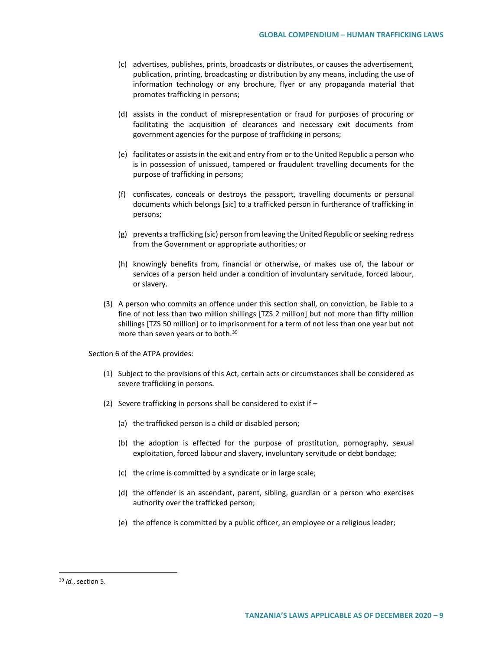- (c) advertises, publishes, prints, broadcasts or distributes, or causes the advertisement, publication, printing, broadcasting or distribution by any means, including the use of information technology or any brochure, flyer or any propaganda material that promotes trafficking in persons;
- (d) assists in the conduct of misrepresentation or fraud for purposes of procuring or facilitating the acquisition of clearances and necessary exit documents from government agencies for the purpose of trafficking in persons;
- (e) facilitates or assists in the exit and entry from or to the United Republic a person who is in possession of unissued, tampered or fraudulent travelling documents for the purpose of trafficking in persons;
- (f) confiscates, conceals or destroys the passport, travelling documents or personal documents which belongs [sic] to a trafficked person in furtherance of trafficking in persons;
- (g) prevents a trafficking (sic) person from leaving the United Republic or seeking redress from the Government or appropriate authorities; or
- (h) knowingly benefits from, financial or otherwise, or makes use of, the labour or services of a person held under a condition of involuntary servitude, forced labour, or slavery.
- (3) A person who commits an offence under this section shall, on conviction, be liable to a fine of not less than two million shillings [TZS 2 million] but not more than fifty million shillings [TZS 50 million] or to imprisonment for a term of not less than one year but not more than seven years or to both.<sup>[39](#page-8-0)</sup>

Section 6 of the ATPA provides:

- (1) Subject to the provisions of this Act, certain acts or circumstances shall be considered as severe trafficking in persons.
- (2) Severe trafficking in persons shall be considered to exist if
	- (a) the trafficked person is a child or disabled person;
	- (b) the adoption is effected for the purpose of prostitution, pornography, sexual exploitation, forced labour and slavery, involuntary servitude or debt bondage;
	- (c) the crime is committed by a syndicate or in large scale;
	- (d) the offender is an ascendant, parent, sibling, guardian or a person who exercises authority over the trafficked person;
	- (e) the offence is committed by a public officer, an employee or a religious leader;

<span id="page-8-0"></span> <sup>39</sup> *Id.*, section 5.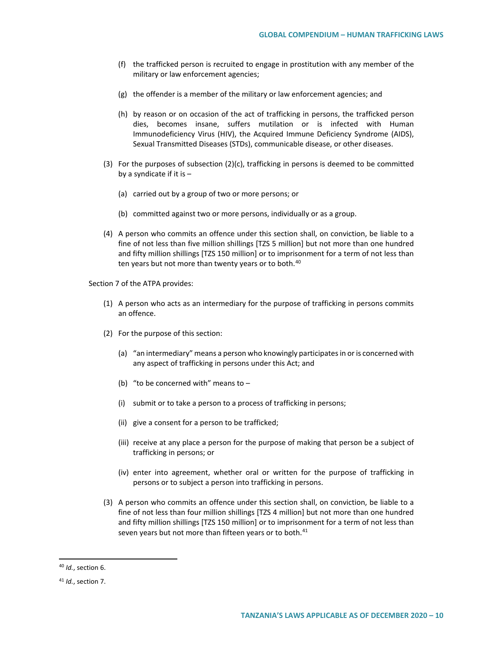- (f) the trafficked person is recruited to engage in prostitution with any member of the military or law enforcement agencies;
- (g) the offender is a member of the military or law enforcement agencies; and
- (h) by reason or on occasion of the act of trafficking in persons, the trafficked person dies, becomes insane, suffers mutilation or is infected with Human Immunodeficiency Virus (HIV), the Acquired Immune Deficiency Syndrome (AIDS), Sexual Transmitted Diseases (STDs), communicable disease, or other diseases.
- (3) For the purposes of subsection  $(2)(c)$ , trafficking in persons is deemed to be committed by a syndicate if it is  $-$ 
	- (a) carried out by a group of two or more persons; or
	- (b) committed against two or more persons, individually or as a group.
- (4) A person who commits an offence under this section shall, on conviction, be liable to a fine of not less than five million shillings [TZS 5 million] but not more than one hundred and fifty million shillings [TZS 150 million] or to imprisonment for a term of not less than ten years but not more than twenty years or to both.<sup>[40](#page-9-0)</sup>

Section 7 of the ATPA provides:

- (1) A person who acts as an intermediary for the purpose of trafficking in persons commits an offence.
- (2) For the purpose of this section:
	- (a) "an intermediary" means a person who knowingly participates in or is concerned with any aspect of trafficking in persons under this Act; and
	- (b) "to be concerned with" means to  $-$
	- (i) submit or to take a person to a process of trafficking in persons;
	- (ii) give a consent for a person to be trafficked;
	- (iii) receive at any place a person for the purpose of making that person be a subject of trafficking in persons; or
	- (iv) enter into agreement, whether oral or written for the purpose of trafficking in persons or to subject a person into trafficking in persons.
- (3) A person who commits an offence under this section shall, on conviction, be liable to a fine of not less than four million shillings [TZS 4 million] but not more than one hundred and fifty million shillings [TZS 150 million] or to imprisonment for a term of not less than seven years but not more than fifteen years or to both.<sup>[41](#page-9-1)</sup>

<span id="page-9-0"></span> <sup>40</sup> *Id.*, section 6.

<span id="page-9-1"></span><sup>41</sup> *Id.*, section 7.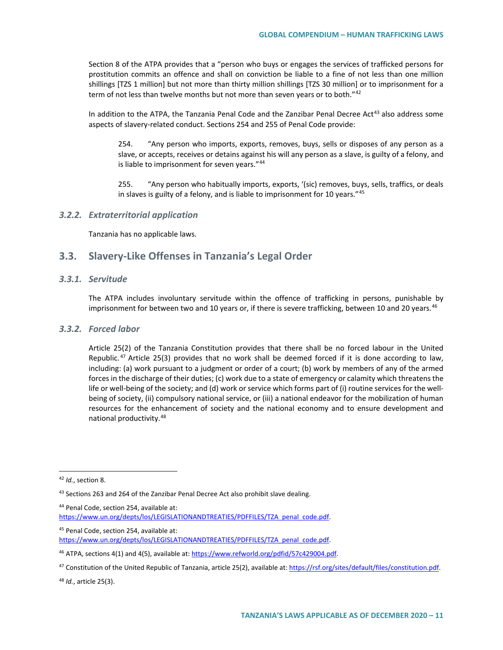Section 8 of the ATPA provides that a "person who buys or engages the services of trafficked persons for prostitution commits an offence and shall on conviction be liable to a fine of not less than one million shillings [TZS 1 million] but not more than thirty million shillings [TZS 30 million] or to imprisonment for a term of not less than twelve months but not more than seven years or to both."<sup>[42](#page-10-0)</sup>

In addition to the ATPA, the Tanzania Penal Code and the Zanzibar Penal Decree Act<sup>[43](#page-10-1)</sup> also address some aspects of slavery-related conduct. Sections 254 and 255 of Penal Code provide:

254. "Any person who imports, exports, removes, buys, sells or disposes of any person as a slave, or accepts, receives or detains against his will any person as a slave, is guilty of a felony, and is liable to imprisonment for seven years."[44](#page-10-2)

255. "Any person who habitually imports, exports, '(sic) removes, buys, sells, traffics, or deals in slaves is guilty of a felony, and is liable to imprisonment for 10 years."[45](#page-10-3)

#### *3.2.2. Extraterritorial application*

Tanzania has no applicable laws.

### **3.3. Slavery-Like Offenses in Tanzania's Legal Order**

#### *3.3.1. Servitude*

The ATPA includes involuntary servitude within the offence of trafficking in persons, punishable by imprisonment for between two and 10 years or, if there is severe trafficking, between 10 and 20 years.<sup>[46](#page-10-4)</sup>

### *3.3.2. Forced labor*

Article 25(2) of the Tanzania Constitution provides that there shall be no forced labour in the United Republic.<sup>[47](#page-10-5)</sup> Article 25(3) provides that no work shall be deemed forced if it is done according to law, including: (a) work pursuant to a judgment or order of a court; (b) work by members of any of the armed forces in the discharge of their duties; (c) work due to a state of emergency or calamity which threatens the life or well-being of the society; and (d) work or service which forms part of (i) routine services for the wellbeing of society, (ii) compulsory national service, or (iii) a national endeavor for the mobilization of human resources for the enhancement of society and the national economy and to ensure development and national productivity.[48](#page-10-6)

- <span id="page-10-2"></span><sup>44</sup> Penal Code, section 254, available at: https://www.un.org/depts/los/LEGISLATIONANDTREATIES/PDFFILES/TZA\_penal\_code.pdf.
- <span id="page-10-3"></span>45 Penal Code, section 254, available at:

<span id="page-10-6"></span><sup>48</sup> *Id.*, article 25(3).

<span id="page-10-0"></span> <sup>42</sup> *Id.*, section 8.

<span id="page-10-1"></span><sup>43</sup> Sections 263 and 264 of the Zanzibar Penal Decree Act also prohibit slave dealing.

[https://www.un.org/depts/los/LEGISLATIONANDTREATIES/PDFFILES/TZA\\_penal\\_code.pdf.](https://www.un.org/depts/los/LEGISLATIONANDTREATIES/PDFFILES/TZA_penal_code.pdf) 

<span id="page-10-4"></span><sup>&</sup>lt;sup>46</sup> ATPA, sections 4(1) and 4(5), available at[: https://www.refworld.org/pdfid/57c429004.pdf.](https://www.refworld.org/pdfid/57c429004.pdf)

<span id="page-10-5"></span><sup>47</sup> Constitution of the United Republic of Tanzania, article 25(2), available at[: https://rsf.org/sites/default/files/constitution.pdf.](https://rsf.org/sites/default/files/constitution.pdf)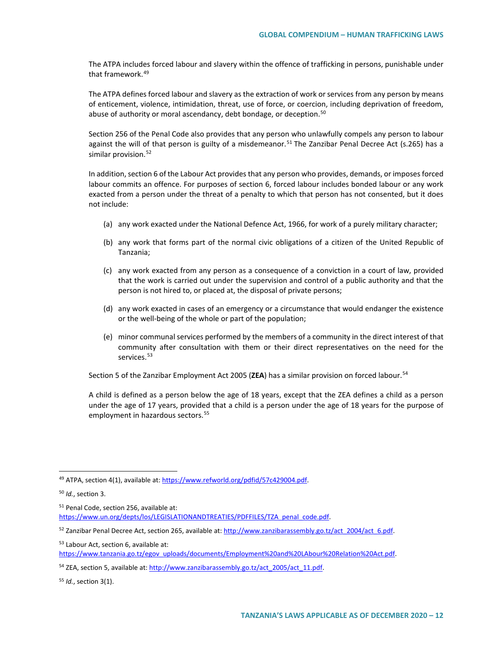The ATPA includes forced labour and slavery within the offence of trafficking in persons, punishable under that framework.[49](#page-11-0)

The ATPA defines forced labour and slavery as the extraction of work or services from any person by means of enticement, violence, intimidation, threat, use of force, or coercion, including deprivation of freedom, abuse of authority or moral ascendancy, debt bondage, or deception.<sup>[50](#page-11-1)</sup>

Section 256 of the Penal Code also provides that any person who unlawfully compels any person to labour against the will of that person is guilty of a misdemeanor.<sup>[51](#page-11-2)</sup> The Zanzibar Penal Decree Act (s.265) has a similar provision.<sup>[52](#page-11-3)</sup>

In addition, section 6 of the Labour Act provides that any person who provides, demands, or imposes forced labour commits an offence. For purposes of section 6, forced labour includes bonded labour or any work exacted from a person under the threat of a penalty to which that person has not consented, but it does not include:

- (a) any work exacted under the National Defence Act, 1966, for work of a purely military character;
- (b) any work that forms part of the normal civic obligations of a citizen of the United Republic of Tanzania;
- (c) any work exacted from any person as a consequence of a conviction in a court of law, provided that the work is carried out under the supervision and control of a public authority and that the person is not hired to, or placed at, the disposal of private persons;
- (d) any work exacted in cases of an emergency or a circumstance that would endanger the existence or the well-being of the whole or part of the population;
- (e) minor communal services performed by the members of a community in the direct interest of that community after consultation with them or their direct representatives on the need for the services.<sup>[53](#page-11-4)</sup>

Section 5 of the Zanzibar Employment Act 2005 (**ZEA**) has a similar provision on forced labour.[54](#page-11-5)

A child is defined as a person below the age of 18 years, except that the ZEA defines a child as a person under the age of 17 years, provided that a child is a person under the age of 18 years for the purpose of employment in hazardous sectors.<sup>[55](#page-11-6)</sup>

<span id="page-11-2"></span><sup>51</sup> Penal Code, section 256, available at:

[https://www.un.org/depts/los/LEGISLATIONANDTREATIES/PDFFILES/TZA\\_penal\\_code.pdf.](https://www.un.org/depts/los/LEGISLATIONANDTREATIES/PDFFILES/TZA_penal_code.pdf) 

<span id="page-11-3"></span>52 Zanzibar Penal Decree Act, section 265, available at: http://www.zanzibarassembly.go.tz/act\_2004/act\_6.pdf.

<span id="page-11-4"></span><sup>53</sup> Labour Act, section 6, available at:

[https://www.tanzania.go.tz/egov\\_uploads/documents/Employment%20and%20LAbour%20Relation%20Act.pdf.](https://www.tanzania.go.tz/egov_uploads/documents/Employment%20and%20LAbour%20Relation%20Act.pdf)

<span id="page-11-5"></span>54 ZEA, section 5, available at: http://www.zanzibarassembly.go.tz/act\_2005/act\_11.pdf.

<span id="page-11-6"></span><sup>55</sup> *Id.*, section 3(1).

<span id="page-11-0"></span><sup>49</sup> ATPA, section 4(1), available at[: https://www.refworld.org/pdfid/57c429004.pdf.](https://www.refworld.org/pdfid/57c429004.pdf)

<span id="page-11-1"></span><sup>50</sup> *Id.*, section 3.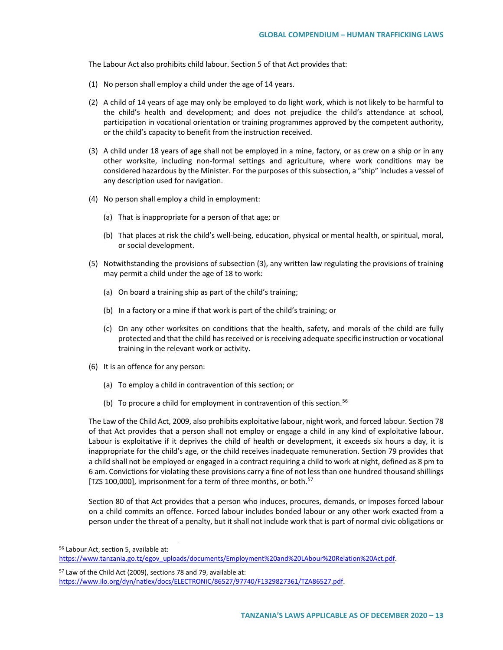The Labour Act also prohibits child labour. Section 5 of that Act provides that:

- (1) No person shall employ a child under the age of 14 years.
- (2) A child of 14 years of age may only be employed to do light work, which is not likely to be harmful to the child's health and development; and does not prejudice the child's attendance at school, participation in vocational orientation or training programmes approved by the competent authority, or the child's capacity to benefit from the instruction received.
- (3) A child under 18 years of age shall not be employed in a mine, factory, or as crew on a ship or in any other worksite, including non-formal settings and agriculture, where work conditions may be considered hazardous by the Minister. For the purposes of this subsection, a "ship" includes a vessel of any description used for navigation.
- (4) No person shall employ a child in employment:
	- (a) That is inappropriate for a person of that age; or
	- (b) That places at risk the child's well-being, education, physical or mental health, or spiritual, moral, or social development.
- (5) Notwithstanding the provisions of subsection (3), any written law regulating the provisions of training may permit a child under the age of 18 to work:
	- (a) On board a training ship as part of the child's training;
	- (b) In a factory or a mine if that work is part of the child's training; or
	- (c) On any other worksites on conditions that the health, safety, and morals of the child are fully protected and that the child has received or is receiving adequate specific instruction or vocational training in the relevant work or activity.
- (6) It is an offence for any person:
	- (a) To employ a child in contravention of this section; or
	- (b) To procure a child for employment in contravention of this section.<sup>[56](#page-12-0)</sup>

The Law of the Child Act, 2009, also prohibits exploitative labour, night work, and forced labour. Section 78 of that Act provides that a person shall not employ or engage a child in any kind of exploitative labour. Labour is exploitative if it deprives the child of health or development, it exceeds six hours a day, it is inappropriate for the child's age, or the child receives inadequate remuneration. Section 79 provides that a child shall not be employed or engaged in a contract requiring a child to work at night, defined as 8 pm to 6 am. Convictions for violating these provisions carry a fine of not less than one hundred thousand shillings [TZS 100,000], imprisonment for a term of three months, or both.<sup>[57](#page-12-1)</sup>

Section 80 of that Act provides that a person who induces, procures, demands, or imposes forced labour on a child commits an offence. Forced labour includes bonded labour or any other work exacted from a person under the threat of a penalty, but it shall not include work that is part of normal civic obligations or

<span id="page-12-0"></span> <sup>56</sup> Labour Act, section 5, available at:

[https://www.tanzania.go.tz/egov\\_uploads/documents/Employment%20and%20LAbour%20Relation%20Act.pdf.](https://www.tanzania.go.tz/egov_uploads/documents/Employment%20and%20LAbour%20Relation%20Act.pdf)

<span id="page-12-1"></span><sup>57</sup> Law of the Child Act (2009), sections 78 and 79, available at:

[https://www.ilo.org/dyn/natlex/docs/ELECTRONIC/86527/97740/F1329827361/TZA86527.pdf.](https://www.ilo.org/dyn/natlex/docs/ELECTRONIC/86527/97740/F1329827361/TZA86527.pdf)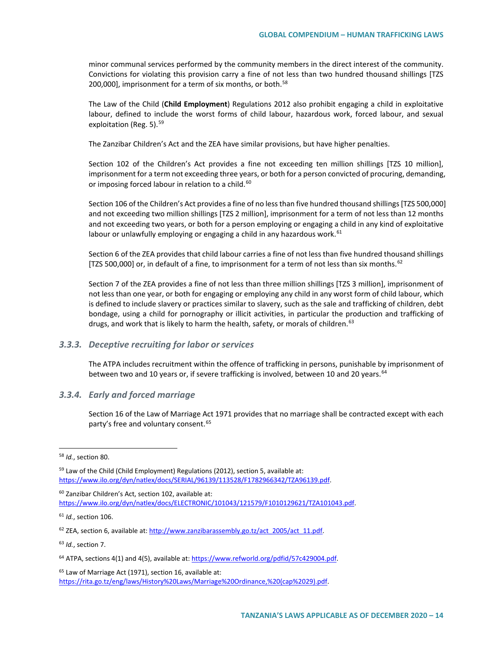minor communal services performed by the community members in the direct interest of the community. Convictions for violating this provision carry a fine of not less than two hundred thousand shillings [TZS 200,000], imprisonment for a term of six months, or both.<sup>[58](#page-13-0)</sup>

The Law of the Child (**Child Employment**) Regulations 2012 also prohibit engaging a child in exploitative labour, defined to include the worst forms of child labour, hazardous work, forced labour, and sexual exploitation (Reg. 5).<sup>[59](#page-13-1)</sup>

The Zanzibar Children's Act and the ZEA have similar provisions, but have higher penalties.

Section 102 of the Children's Act provides a fine not exceeding ten million shillings [TZS 10 million], imprisonment for a term not exceeding three years, or both for a person convicted of procuring, demanding, or imposing forced labour in relation to a child.<sup>[60](#page-13-2)</sup>

Section 106 of the Children's Act provides a fine of no less than five hundred thousand shillings [TZS 500,000] and not exceeding two million shillings [TZS 2 million], imprisonment for a term of not less than 12 months and not exceeding two years, or both for a person employing or engaging a child in any kind of exploitative labour or unlawfully employing or engaging a child in any hazardous work.  $61$ 

Section 6 of the ZEA provides that child labour carries a fine of not less than five hundred thousand shillings [TZS 500,000] or, in default of a fine, to imprisonment for a term of not less than six months.<sup>[62](#page-13-4)</sup>

Section 7 of the ZEA provides a fine of not less than three million shillings [TZS 3 million], imprisonment of not less than one year, or both for engaging or employing any child in any worst form of child labour, which is defined to include slavery or practices similar to slavery, such as the sale and trafficking of children, debt bondage, using a child for pornography or illicit activities, in particular the production and trafficking of drugs, and work that is likely to harm the health, safety, or morals of children.<sup>[63](#page-13-5)</sup>

### *3.3.3. Deceptive recruiting for labor or services*

The ATPA includes recruitment within the offence of trafficking in persons, punishable by imprisonment of between two and 10 years or, if severe trafficking is involved, between 10 and 20 years.<sup>[64](#page-13-6)</sup>

#### *3.3.4. Early and forced marriage*

Section 16 of the Law of Marriage Act 1971 provides that no marriage shall be contracted except with each party's free and voluntary consent.<sup>[65](#page-13-7)</sup>

<span id="page-13-3"></span><sup>61</sup> *Id.*, section 106.

<span id="page-13-4"></span> $62$  ZEA, section 6, available at: http://www.zanzibarassembly.go.tz/act\_2005/act\_11.pdf.

<span id="page-13-5"></span><sup>63</sup> *Id.*, section 7.

<span id="page-13-0"></span> <sup>58</sup> *Id.*, section 80.

<span id="page-13-1"></span> $59$  Law of the Child (Child Employment) Regulations (2012), section 5, available at: [https://www.ilo.org/dyn/natlex/docs/SERIAL/96139/113528/F1782966342/TZA96139.pdf.](https://www.ilo.org/dyn/natlex/docs/SERIAL/96139/113528/F1782966342/TZA96139.pdf) 

<span id="page-13-2"></span><sup>60</sup> Zanzibar Children's Act, section 102, available at: [https://www.ilo.org/dyn/natlex/docs/ELECTRONIC/101043/121579/F1010129621/TZA101043.pdf.](https://www.ilo.org/dyn/natlex/docs/ELECTRONIC/101043/121579/F1010129621/TZA101043.pdf) 

<span id="page-13-6"></span><sup>64</sup> ATPA, sections 4(1) and 4(5), available at[: https://www.refworld.org/pdfid/57c429004.pdf.](https://www.refworld.org/pdfid/57c429004.pdf)

<span id="page-13-7"></span><sup>&</sup>lt;sup>65</sup> Law of Marriage Act (1971), section 16, available at: [https://rita.go.tz/eng/laws/History%20Laws/Marriage%20Ordinance,%20\(cap%2029\).pdf.](https://rita.go.tz/eng/laws/History%20Laws/Marriage%20Ordinance,%20(cap%2029).pdf)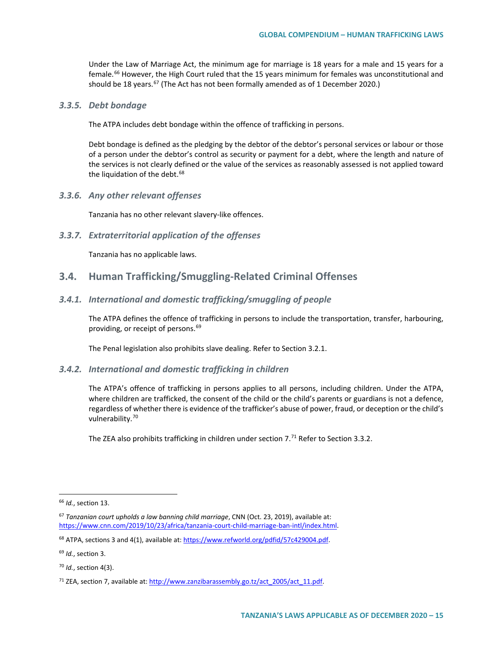Under the Law of Marriage Act, the minimum age for marriage is 18 years for a male and 15 years for a female.<sup>[66](#page-14-0)</sup> However, the High Court ruled that the 15 years minimum for females was unconstitutional and should be 18 years.<sup>[67](#page-14-1)</sup> (The Act has not been formally amended as of 1 December 2020.)

### *3.3.5. Debt bondage*

The ATPA includes debt bondage within the offence of trafficking in persons.

Debt bondage is defined as the pledging by the debtor of the debtor's personal services or labour or those of a person under the debtor's control as security or payment for a debt, where the length and nature of the services is not clearly defined or the value of the services as reasonably assessed is not applied toward the liquidation of the debt.<sup>[68](#page-14-2)</sup>

*3.3.6. Any other relevant offenses*

Tanzania has no other relevant slavery-like offences.

*3.3.7. Extraterritorial application of the offenses*

Tanzania has no applicable laws.

### **3.4. Human Trafficking/Smuggling-Related Criminal Offenses**

### *3.4.1. International and domestic trafficking/smuggling of people*

The ATPA defines the offence of trafficking in persons to include the transportation, transfer, harbouring, providing, or receipt of persons.<sup>[69](#page-14-3)</sup>

The Penal legislation also prohibits slave dealing. Refer to Section 3.2.1.

### *3.4.2. International and domestic trafficking in children*

The ATPA's offence of trafficking in persons applies to all persons, including children. Under the ATPA, where children are trafficked, the consent of the child or the child's parents or guardians is not a defence, regardless of whether there is evidence of the trafficker's abuse of power, fraud, or deception or the child's vulnerability.<sup>[70](#page-14-4)</sup>

The ZEA also prohibits trafficking in children under section  $7.^{71}$  $7.^{71}$  $7.^{71}$  Refer to Section 3.3.2.

<span id="page-14-0"></span> <sup>66</sup> *Id.*, section 13.

<span id="page-14-1"></span><sup>67</sup> *Tanzanian court upholds a law banning child marriage*, CNN (Oct. 23, 2019), available at: [https://www.cnn.com/2019/10/23/africa/tanzania-court-child-marriage-ban-intl/index.html.](https://www.cnn.com/2019/10/23/africa/tanzania-court-child-marriage-ban-intl/index.html)

<span id="page-14-2"></span><sup>&</sup>lt;sup>68</sup> ATPA, sections 3 and 4(1), available at[: https://www.refworld.org/pdfid/57c429004.pdf.](https://www.refworld.org/pdfid/57c429004.pdf)

<span id="page-14-3"></span><sup>69</sup> *Id.*, section 3.

<span id="page-14-4"></span><sup>70</sup> *Id.*, section 4(3).

<span id="page-14-5"></span><sup>&</sup>lt;sup>71</sup> ZEA, section 7, available at: http://www.zanzibarassembly.go.tz/act\_2005/act\_11.pdf.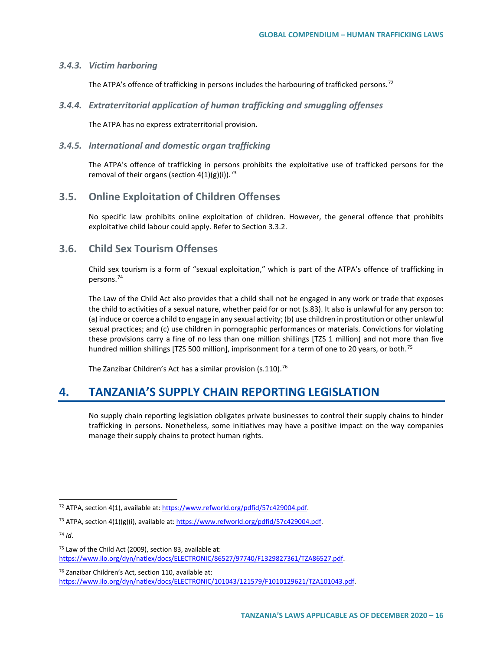### *3.4.3. Victim harboring*

The ATPA's offence of trafficking in persons includes the harbouring of trafficked persons.<sup>[72](#page-15-0)</sup>

*3.4.4. Extraterritorial application of human trafficking and smuggling offenses*

The ATPA has no express extraterritorial provision*.*

### *3.4.5. International and domestic organ trafficking*

The ATPA's offence of trafficking in persons prohibits the exploitative use of trafficked persons for the removal of their organs (section  $4(1)(g)(i)$ ).<sup>73</sup>

# **3.5. Online Exploitation of Children Offenses**

No specific law prohibits online exploitation of children. However, the general offence that prohibits exploitative child labour could apply. Refer to Section 3.3.2.

# **3.6. Child Sex Tourism Offenses**

Child sex tourism is a form of "sexual exploitation," which is part of the ATPA's offence of trafficking in persons.[74](#page-15-2)

The Law of the Child Act also provides that a child shall not be engaged in any work or trade that exposes the child to activities of a sexual nature, whether paid for or not (s.83). It also is unlawful for any person to: (a) induce or coerce a child to engage in any sexual activity; (b) use children in prostitution or other unlawful sexual practices; and (c) use children in pornographic performances or materials. Convictions for violating these provisions carry a fine of no less than one million shillings [TZS 1 million] and not more than five hundred million shillings [TZS 500 million], imprisonment for a term of one to 20 years, or both.<sup>[75](#page-15-3)</sup>

The Zanzibar Children's Act has a similar provision (s.110).<sup>[76](#page-15-4)</sup>

# **4. TANZANIA'S SUPPLY CHAIN REPORTING LEGISLATION**

No supply chain reporting legislation obligates private businesses to control their supply chains to hinder trafficking in persons. Nonetheless, some initiatives may have a positive impact on the way companies manage their supply chains to protect human rights.

<span id="page-15-2"></span><sup>74</sup> *Id*.

<span id="page-15-0"></span> <sup>72</sup> ATPA, section 4(1), available at[: https://www.refworld.org/pdfid/57c429004.pdf.](https://www.refworld.org/pdfid/57c429004.pdf)

<span id="page-15-1"></span><sup>&</sup>lt;sup>73</sup> ATPA, section  $4(1)(g)(i)$ , available at[: https://www.refworld.org/pdfid/57c429004.pdf.](https://www.refworld.org/pdfid/57c429004.pdf)

<span id="page-15-3"></span><sup>75</sup> Law of the Child Act (2009), section 83, available at: [https://www.ilo.org/dyn/natlex/docs/ELECTRONIC/86527/97740/F1329827361/TZA86527.pdf.](https://www.ilo.org/dyn/natlex/docs/ELECTRONIC/86527/97740/F1329827361/TZA86527.pdf)

<span id="page-15-4"></span><sup>76</sup> Zanzibar Children's Act, section 110, available at: [https://www.ilo.org/dyn/natlex/docs/ELECTRONIC/101043/121579/F1010129621/TZA101043.pdf.](https://www.ilo.org/dyn/natlex/docs/ELECTRONIC/101043/121579/F1010129621/TZA101043.pdf)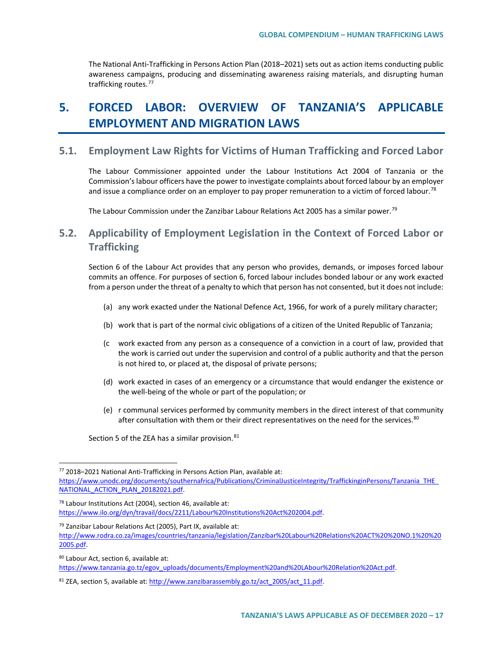The National Anti-Trafficking in Persons Action Plan (2018–2021) sets out as action items conducting public awareness campaigns, producing and disseminating awareness raising materials, and disrupting human trafficking routes.[77](#page-16-0)

# **5. FORCED LABOR: OVERVIEW OF TANZANIA'S APPLICABLE EMPLOYMENT AND MIGRATION LAWS**

## **5.1. Employment Law Rights for Victims of Human Trafficking and Forced Labor**

The Labour Commissioner appointed under the Labour Institutions Act 2004 of Tanzania or the Commission's labour officers have the power to investigate complaints about forced labour by an employer and issue a compliance order on an employer to pay proper remuneration to a victim of forced labour.<sup>[78](#page-16-1)</sup>

The Labour Commission under the Zanzibar Labour Relations Act 2005 has a similar power.<sup>[79](#page-16-2)</sup>

# **5.2. Applicability of Employment Legislation in the Context of Forced Labor or Trafficking**

Section 6 of the Labour Act provides that any person who provides, demands, or imposes forced labour commits an offence. For purposes of section 6, forced labour includes bonded labour or any work exacted from a person under the threat of a penalty to which that person has not consented, but it does not include:

- (a) any work exacted under the National Defence Act, 1966, for work of a purely military character;
- (b) work that is part of the normal civic obligations of a citizen of the United Republic of Tanzania;
- (c work exacted from any person as a consequence of a conviction in a court of law, provided that the work is carried out under the supervision and control of a public authority and that the person is not hired to, or placed at, the disposal of private persons;
- (d) work exacted in cases of an emergency or a circumstance that would endanger the existence or the well-being of the whole or part of the population; or
- (e) r communal services performed by community members in the direct interest of that community after consultation with them or their direct representatives on the need for the services.<sup>[80](#page-16-3)</sup>

Section 5 of the ZEA has a similar provision.<sup>[81](#page-16-4)</sup>

<span id="page-16-1"></span><sup>78</sup> Labour Institutions Act (2004), section 46, available at: [https://www.ilo.org/dyn/travail/docs/2211/Labour%20Institutions%20Act%202004.pdf.](https://www.ilo.org/dyn/travail/docs/2211/Labour%20Institutions%20Act%202004.pdf) 

<span id="page-16-3"></span><sup>80</sup> Labour Act, section 6, available at:

[https://www.tanzania.go.tz/egov\\_uploads/documents/Employment%20and%20LAbour%20Relation%20Act.pdf.](https://www.tanzania.go.tz/egov_uploads/documents/Employment%20and%20LAbour%20Relation%20Act.pdf)

<span id="page-16-0"></span> <sup>77</sup> 2018–2021 National Anti-Trafficking in Persons Action Plan, available at: [https://www.unodc.org/documents/southernafrica/Publications/CriminalJusticeIntegrity/TraffickinginPersons/Tanzania\\_THE\\_](https://www.unodc.org/documents/southernafrica/Publications/CriminalJusticeIntegrity/TraffickinginPersons/Tanzania_THE_NATIONAL_ACTION_PLAN_20182021.pdf) NATIONAL ACTION PLAN 20182021.pdf.

<span id="page-16-2"></span><sup>79</sup> Zanzibar Labour Relations Act (2005), Part IX, available at: [http://www.rodra.co.za/images/countries/tanzania/legislation/Zanzibar%20Labour%20Relations%20ACT%20%20NO.1%20%20](http://www.rodra.co.za/images/countries/tanzania/legislation/Zanzibar%20Labour%20Relations%20ACT%20%20NO.1%20%202005.pdf) [2005.pdf.](http://www.rodra.co.za/images/countries/tanzania/legislation/Zanzibar%20Labour%20Relations%20ACT%20%20NO.1%20%202005.pdf)

<span id="page-16-4"></span><sup>81</sup> ZEA, section 5, available at: http://www.zanzibarassembly.go.tz/act\_2005/act\_11.pdf.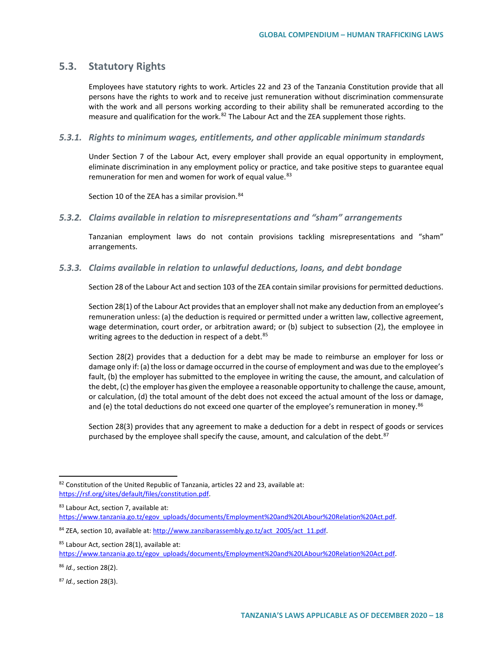## **5.3. Statutory Rights**

Employees have statutory rights to work. Articles 22 and 23 of the Tanzania Constitution provide that all persons have the rights to work and to receive just remuneration without discrimination commensurate with the work and all persons working according to their ability shall be remunerated according to the measure and qualification for the work.<sup>[82](#page-17-0)</sup> The Labour Act and the ZEA supplement those rights.

### *5.3.1. Rights to minimum wages, entitlements, and other applicable minimum standards*

Under Section 7 of the Labour Act, every employer shall provide an equal opportunity in employment, eliminate discrimination in any employment policy or practice, and take positive steps to guarantee equal remuneration for men and women for work of equal value.<sup>[83](#page-17-1)</sup>

Section 10 of the ZEA has a similar provision.<sup>[84](#page-17-2)</sup>

#### *5.3.2. Claims available in relation to misrepresentations and "sham" arrangements*

Tanzanian employment laws do not contain provisions tackling misrepresentations and "sham" arrangements.

### *5.3.3. Claims available in relation to unlawful deductions, loans, and debt bondage*

Section 28 of the Labour Act and section 103 of the ZEA contain similar provisions for permitted deductions.

Section 28(1) of the Labour Act provides that an employer shall not make any deduction from an employee's remuneration unless: (a) the deduction is required or permitted under a written law, collective agreement, wage determination, court order, or arbitration award; or (b) subject to subsection (2), the employee in writing agrees to the deduction in respect of a debt.<sup>[85](#page-17-3)</sup>

Section 28(2) provides that a deduction for a debt may be made to reimburse an employer for loss or damage only if: (a) the loss or damage occurred in the course of employment and was due to the employee's fault, (b) the employer has submitted to the employee in writing the cause, the amount, and calculation of the debt, (c) the employer has given the employee a reasonable opportunity to challenge the cause, amount, or calculation, (d) the total amount of the debt does not exceed the actual amount of the loss or damage, and (e) the total deductions do not exceed one quarter of the employee's remuneration in money.<sup>[86](#page-17-4)</sup>

Section 28(3) provides that any agreement to make a deduction for a debt in respect of goods or services purchased by the employee shall specify the cause, amount, and calculation of the debt.<sup>[87](#page-17-5)</sup>

<span id="page-17-1"></span>83 Labour Act, section 7, available at:

[https://www.tanzania.go.tz/egov\\_uploads/documents/Employment%20and%20LAbour%20Relation%20Act.pdf.](https://www.tanzania.go.tz/egov_uploads/documents/Employment%20and%20LAbour%20Relation%20Act.pdf)

<span id="page-17-0"></span><sup>82</sup> Constitution of the United Republic of Tanzania, articles 22 and 23, available at: [https://rsf.org/sites/default/files/constitution.pdf.](https://rsf.org/sites/default/files/constitution.pdf) 

<span id="page-17-2"></span> $84$  ZEA, section 10, available at[: http://www.zanzibarassembly.go.tz/act\\_2005/act\\_11.pdf.](http://www.zanzibarassembly.go.tz/act_2005/act_11.pdf)

<span id="page-17-3"></span><sup>85</sup> Labour Act, section 28(1), available at:

[https://www.tanzania.go.tz/egov\\_uploads/documents/Employment%20and%20LAbour%20Relation%20Act.pdf.](https://www.tanzania.go.tz/egov_uploads/documents/Employment%20and%20LAbour%20Relation%20Act.pdf)

<span id="page-17-4"></span><sup>86</sup> *Id.*, section 28(2).

<span id="page-17-5"></span><sup>87</sup> *Id.*, section 28(3).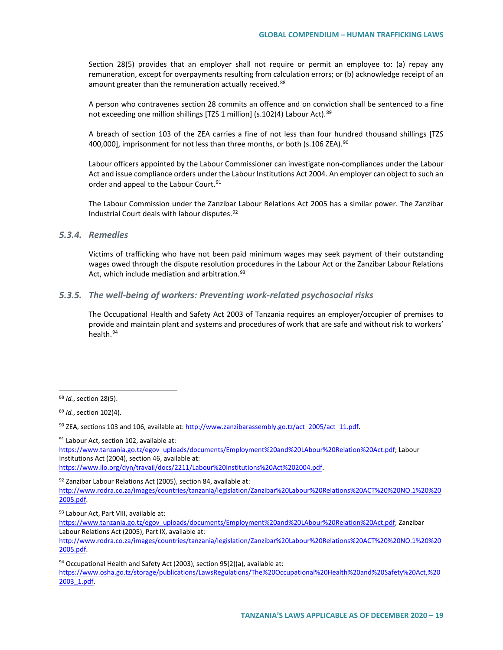Section 28(5) provides that an employer shall not require or permit an employee to: (a) repay any remuneration, except for overpayments resulting from calculation errors; or (b) acknowledge receipt of an amount greater than the remuneration actually received.<sup>[88](#page-18-0)</sup>

A person who contravenes section 28 commits an offence and on conviction shall be sentenced to a fine not exceeding one million shillings [TZS 1 million] (s.102(4) Labour Act). [89](#page-18-1)

A breach of section 103 of the ZEA carries a fine of not less than four hundred thousand shillings [TZS 400,000], imprisonment for not less than three months, or both (s.106 ZEA).<sup>[90](#page-18-2)</sup>

Labour officers appointed by the Labour Commissioner can investigate non-compliances under the Labour Act and issue compliance orders under the Labour Institutions Act 2004. An employer can object to such an order and appeal to the Labour Court.<sup>[91](#page-18-3)</sup>

The Labour Commission under the Zanzibar Labour Relations Act 2005 has a similar power. The Zanzibar Industrial Court deals with labour disputes.[92](#page-18-4)

### *5.3.4. Remedies*

Victims of trafficking who have not been paid minimum wages may seek payment of their outstanding wages owed through the dispute resolution procedures in the Labour Act or the Zanzibar Labour Relations Act, which include mediation and arbitration.<sup>[93](#page-18-5)</sup>

### *5.3.5. The well-being of workers: Preventing work-related psychosocial risks*

The Occupational Health and Safety Act 2003 of Tanzania requires an employer/occupier of premises to provide and maintain plant and systems and procedures of work that are safe and without risk to workers' health.<sup>[94](#page-18-6)</sup>

<span id="page-18-3"></span>91 Labour Act, section 102, available at:

[https://www.tanzania.go.tz/egov\\_uploads/documents/Employment%20and%20LAbour%20Relation%20Act.pdf;](https://www.tanzania.go.tz/egov_uploads/documents/Employment%20and%20LAbour%20Relation%20Act.pdf) Labour Institutions Act (2004), section 46, available at:

[https://www.ilo.org/dyn/travail/docs/2211/Labour%20Institutions%20Act%202004.pdf.](https://www.ilo.org/dyn/travail/docs/2211/Labour%20Institutions%20Act%202004.pdf) 

<span id="page-18-4"></span> $92$  Zanzibar Labour Relations Act (2005), section 84, available at:

<span id="page-18-5"></span>93 Labour Act, Part VIII, available at:

<span id="page-18-6"></span>94 Occupational Health and Safety Act (2003), section 95(2)(a), available at:

[https://www.osha.go.tz/storage/publications/LawsRegulations/The%20Occupational%20Health%20and%20Safety%20Act,%20](https://www.osha.go.tz/storage/publications/LawsRegulations/The%20Occupational%20Health%20and%20Safety%20Act,%202003_1.pdf) [2003\\_1.pdf.](https://www.osha.go.tz/storage/publications/LawsRegulations/The%20Occupational%20Health%20and%20Safety%20Act,%202003_1.pdf)

<span id="page-18-0"></span> <sup>88</sup> *Id.*, section 28(5).

<span id="page-18-1"></span><sup>89</sup> *Id.*, section 102(4).

<span id="page-18-2"></span> $90$  ZEA, sections 103 and 106, available at: [http://www.zanzibarassembly.go.tz/act\\_2005/act\\_11.pdf.](http://www.zanzibarassembly.go.tz/act_2005/act_11.pdf)

[http://www.rodra.co.za/images/countries/tanzania/legislation/Zanzibar%20Labour%20Relations%20ACT%20%20NO.1%20%20](http://www.rodra.co.za/images/countries/tanzania/legislation/Zanzibar%20Labour%20Relations%20ACT%20%20NO.1%20%202005.pdf) [2005.pdf.](http://www.rodra.co.za/images/countries/tanzania/legislation/Zanzibar%20Labour%20Relations%20ACT%20%20NO.1%20%202005.pdf)

[https://www.tanzania.go.tz/egov\\_uploads/documents/Employment%20and%20LAbour%20Relation%20Act.pdf;](https://www.tanzania.go.tz/egov_uploads/documents/Employment%20and%20LAbour%20Relation%20Act.pdf) Zanzibar Labour Relations Act (2005), Part IX, available at:

[http://www.rodra.co.za/images/countries/tanzania/legislation/Zanzibar%20Labour%20Relations%20ACT%20%20NO.1%20%20](http://www.rodra.co.za/images/countries/tanzania/legislation/Zanzibar%20Labour%20Relations%20ACT%20%20NO.1%20%202005.pdf) [2005.pdf.](http://www.rodra.co.za/images/countries/tanzania/legislation/Zanzibar%20Labour%20Relations%20ACT%20%20NO.1%20%202005.pdf)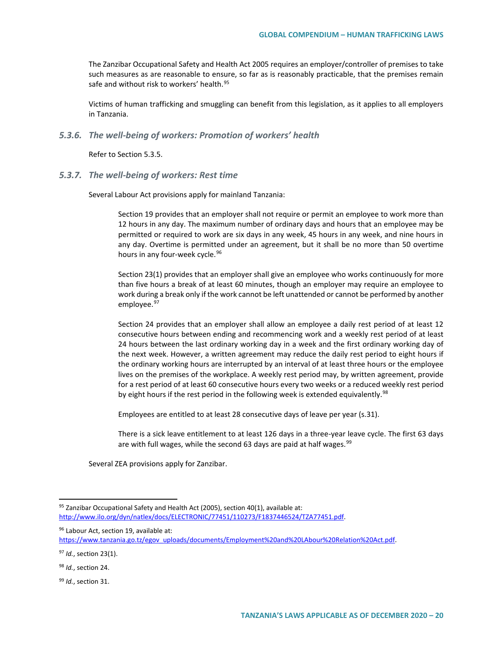The Zanzibar Occupational Safety and Health Act 2005 requires an employer/controller of premises to take such measures as are reasonable to ensure, so far as is reasonably practicable, that the premises remain safe and without risk to workers' health.<sup>[95](#page-19-0)</sup>

Victims of human trafficking and smuggling can benefit from this legislation, as it applies to all employers in Tanzania.

### *5.3.6. The well-being of workers: Promotion of workers' health*

Refer to Section 5.3.5.

### *5.3.7. The well-being of workers: Rest time*

Several Labour Act provisions apply for mainland Tanzania:

Section 19 provides that an employer shall not require or permit an employee to work more than 12 hours in any day. The maximum number of ordinary days and hours that an employee may be permitted or required to work are six days in any week, 45 hours in any week, and nine hours in any day. Overtime is permitted under an agreement, but it shall be no more than 50 overtime hours in any four-week cycle.<sup>[96](#page-19-1)</sup>

Section 23(1) provides that an employer shall give an employee who works continuously for more than five hours a break of at least 60 minutes, though an employer may require an employee to work during a break only if the work cannot be left unattended or cannot be performed by another employee.<sup>[97](#page-19-2)</sup>

Section 24 provides that an employer shall allow an employee a daily rest period of at least 12 consecutive hours between ending and recommencing work and a weekly rest period of at least 24 hours between the last ordinary working day in a week and the first ordinary working day of the next week. However, a written agreement may reduce the daily rest period to eight hours if the ordinary working hours are interrupted by an interval of at least three hours or the employee lives on the premises of the workplace. A weekly rest period may, by written agreement, provide for a rest period of at least 60 consecutive hours every two weeks or a reduced weekly rest period by eight hours if the rest period in the following week is extended equivalently.<sup>[98](#page-19-3)</sup>

Employees are entitled to at least 28 consecutive days of leave per year (s.31).

There is a sick leave entitlement to at least 126 days in a three-year leave cycle. The first 63 days are with full wages, while the second 63 days are paid at half wages.  $99$ 

Several ZEA provisions apply for Zanzibar.

<span id="page-19-0"></span> $95$  Zanzibar Occupational Safety and Health Act (2005), section 40(1), available at: [http://www.ilo.org/dyn/natlex/docs/ELECTRONIC/77451/110273/F1837446524/TZA77451.pdf.](http://www.ilo.org/dyn/natlex/docs/ELECTRONIC/77451/110273/F1837446524/TZA77451.pdf)

<span id="page-19-1"></span><sup>96</sup> Labour Act, section 19, available at:

[https://www.tanzania.go.tz/egov\\_uploads/documents/Employment%20and%20LAbour%20Relation%20Act.pdf.](https://www.tanzania.go.tz/egov_uploads/documents/Employment%20and%20LAbour%20Relation%20Act.pdf)

<span id="page-19-2"></span><sup>97</sup> *Id.*, section 23(1).

<span id="page-19-3"></span><sup>98</sup> *Id.*, section 24.

<span id="page-19-4"></span><sup>99</sup> *Id.*, section 31.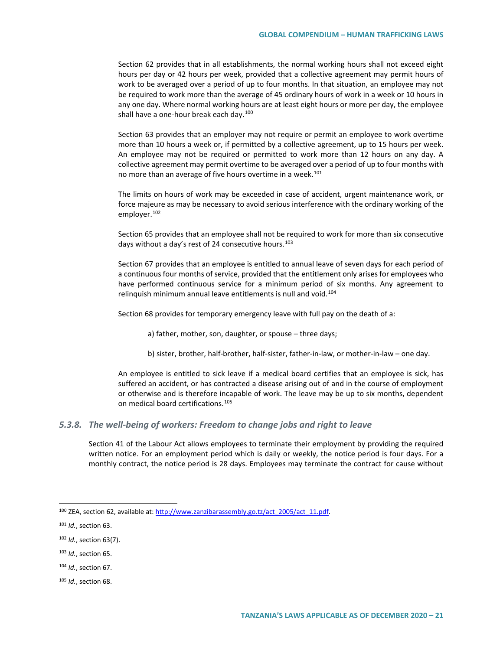Section 62 provides that in all establishments, the normal working hours shall not exceed eight hours per day or 42 hours per week, provided that a collective agreement may permit hours of work to be averaged over a period of up to four months. In that situation, an employee may not be required to work more than the average of 45 ordinary hours of work in a week or 10 hours in any one day. Where normal working hours are at least eight hours or more per day, the employee shall have a one-hour break each day. $100$ 

Section 63 provides that an employer may not require or permit an employee to work overtime more than 10 hours a week or, if permitted by a collective agreement, up to 15 hours per week. An employee may not be required or permitted to work more than 12 hours on any day. A collective agreement may permit overtime to be averaged over a period of up to four months with no more than an average of five hours overtime in a week.<sup>[101](#page-20-1)</sup>

The limits on hours of work may be exceeded in case of accident, urgent maintenance work, or force majeure as may be necessary to avoid serious interference with the ordinary working of the employer.[102](#page-20-2)

Section 65 provides that an employee shall not be required to work for more than six consecutive days without a day's rest of 24 consecutive hours.<sup>[103](#page-20-3)</sup>

Section 67 provides that an employee is entitled to annual leave of seven days for each period of a continuous four months of service, provided that the entitlement only arises for employees who have performed continuous service for a minimum period of six months. Any agreement to relinquish minimum annual leave entitlements is null and void.<sup>[104](#page-20-4)</sup>

Section 68 provides for temporary emergency leave with full pay on the death of a:

a) father, mother, son, daughter, or spouse – three days;

b) sister, brother, half-brother, half-sister, father-in-law, or mother-in-law – one day.

An employee is entitled to sick leave if a medical board certifies that an employee is sick, has suffered an accident, or has contracted a disease arising out of and in the course of employment or otherwise and is therefore incapable of work. The leave may be up to six months, dependent on medical board certifications.[105](#page-20-5)

### *5.3.8. The well-being of workers: Freedom to change jobs and right to leave*

Section 41 of the Labour Act allows employees to terminate their employment by providing the required written notice. For an employment period which is daily or weekly, the notice period is four days. For a monthly contract, the notice period is 28 days. Employees may terminate the contract for cause without

<span id="page-20-0"></span><sup>&</sup>lt;sup>100</sup> ZEA, section 62, available at[: http://www.zanzibarassembly.go.tz/act\\_2005/act\\_11.pdf.](http://www.zanzibarassembly.go.tz/act_2005/act_11.pdf)

<span id="page-20-1"></span><sup>101</sup> *Id.*, section 63.

<span id="page-20-2"></span><sup>102</sup> *Id.*, section 63(7).

<span id="page-20-3"></span><sup>103</sup> *Id.*, section 65.

<span id="page-20-4"></span><sup>104</sup> *Id.*, section 67.

<span id="page-20-5"></span><sup>105</sup> *Id.*, section 68.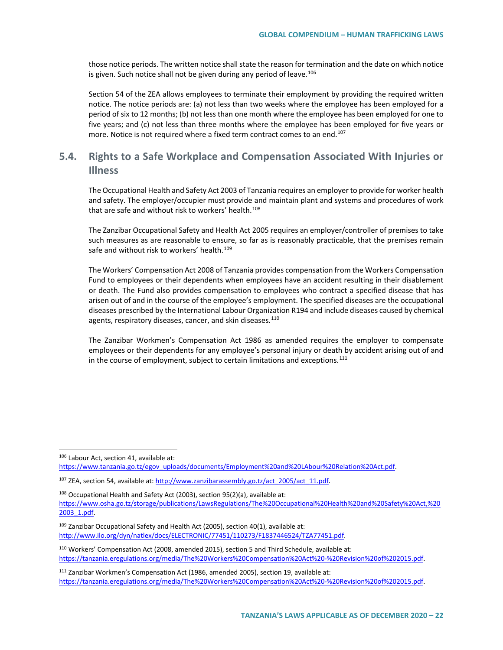those notice periods. The written notice shall state the reason for termination and the date on which notice is given. Such notice shall not be given during any period of leave.<sup>[106](#page-21-0)</sup>

Section 54 of the ZEA allows employees to terminate their employment by providing the required written notice. The notice periods are: (a) not less than two weeks where the employee has been employed for a period of six to 12 months; (b) not less than one month where the employee has been employed for one to five years; and (c) not less than three months where the employee has been employed for five years or more. Notice is not required where a fixed term contract comes to an end.<sup>[107](#page-21-1)</sup>

# **5.4. Rights to a Safe Workplace and Compensation Associated With Injuries or Illness**

The Occupational Health and Safety Act 2003 of Tanzania requires an employer to provide for worker health and safety. The employer/occupier must provide and maintain plant and systems and procedures of work that are safe and without risk to workers' health.<sup>[108](#page-21-2)</sup>

The Zanzibar Occupational Safety and Health Act 2005 requires an employer/controller of premises to take such measures as are reasonable to ensure, so far as is reasonably practicable, that the premises remain safe and without risk to workers' health.<sup>[109](#page-21-3)</sup>

The Workers' Compensation Act 2008 of Tanzania provides compensation from the Workers Compensation Fund to employees or their dependents when employees have an accident resulting in their disablement or death. The Fund also provides compensation to employees who contract a specified disease that has arisen out of and in the course of the employee's employment. The specified diseases are the occupational diseases prescribed by the International Labour Organization R194 and include diseases caused by chemical agents, respiratory diseases, cancer, and skin diseases.<sup>[110](#page-21-4)</sup>

The Zanzibar Workmen's Compensation Act 1986 as amended requires the employer to compensate employees or their dependents for any employee's personal injury or death by accident arising out of and in the course of employment, subject to certain limitations and exceptions.<sup>[111](#page-21-5)</sup>

<span id="page-21-5"></span><sup>111</sup> Zanzibar Workmen's Compensation Act (1986, amended 2005), section 19, available at: [https://tanzania.eregulations.org/media/The%20Workers%20Compensation%20Act%20-%20Revision%20of%202015.pdf.](https://tanzania.eregulations.org/media/The%20Workers%20Compensation%20Act%20-%20Revision%20of%202015.pdf) 

<span id="page-21-0"></span><sup>106</sup> Labour Act, section 41, available at: [https://www.tanzania.go.tz/egov\\_uploads/documents/Employment%20and%20LAbour%20Relation%20Act.pdf.](https://www.tanzania.go.tz/egov_uploads/documents/Employment%20and%20LAbour%20Relation%20Act.pdf)

<span id="page-21-1"></span><sup>&</sup>lt;sup>107</sup> ZEA, section 54, available at[: http://www.zanzibarassembly.go.tz/act\\_2005/act\\_11.pdf.](http://www.zanzibarassembly.go.tz/act_2005/act_11.pdf)

<span id="page-21-2"></span><sup>&</sup>lt;sup>108</sup> Occupational Health and Safety Act (2003), section 95(2)(a), available at: [https://www.osha.go.tz/storage/publications/LawsRegulations/The%20Occupational%20Health%20and%20Safety%20Act,%20](https://www.osha.go.tz/storage/publications/LawsRegulations/The%20Occupational%20Health%20and%20Safety%20Act,%202003_1.pdf) [2003\\_1.pdf.](https://www.osha.go.tz/storage/publications/LawsRegulations/The%20Occupational%20Health%20and%20Safety%20Act,%202003_1.pdf)

<span id="page-21-3"></span> $109$  Zanzibar Occupational Safety and Health Act (2005), section 40(1), available at: [http://www.ilo.org/dyn/natlex/docs/ELECTRONIC/77451/110273/F1837446524/TZA77451.pdf.](http://www.ilo.org/dyn/natlex/docs/ELECTRONIC/77451/110273/F1837446524/TZA77451.pdf)

<span id="page-21-4"></span><sup>110</sup> Workers' Compensation Act (2008, amended 2015), section 5 and Third Schedule, available at: [https://tanzania.eregulations.org/media/The%20Workers%20Compensation%20Act%20-%20Revision%20of%202015.pdf.](https://tanzania.eregulations.org/media/The%20Workers%20Compensation%20Act%20-%20Revision%20of%202015.pdf)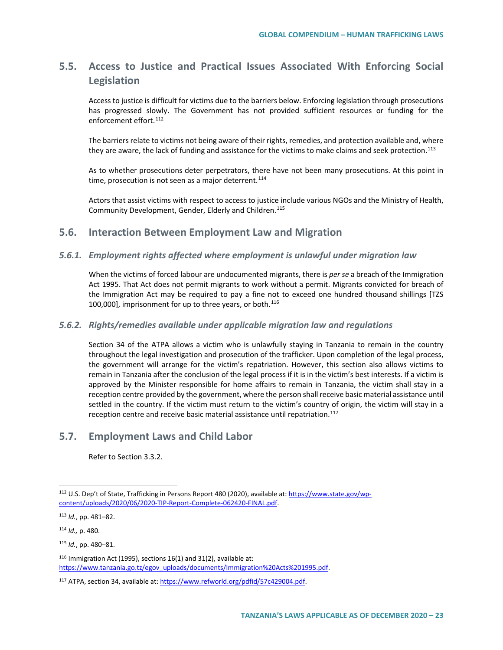# **5.5. Access to Justice and Practical Issues Associated With Enforcing Social Legislation**

Access to justice is difficult for victims due to the barriers below. Enforcing legislation through prosecutions has progressed slowly. The Government has not provided sufficient resources or funding for the enforcement effort<sup>[112](#page-22-0)</sup>

The barriers relate to victims not being aware of their rights, remedies, and protection available and, where they are aware, the lack of funding and assistance for the victims to make claims and seek protection.<sup>[113](#page-22-1)</sup>

As to whether prosecutions deter perpetrators, there have not been many prosecutions. At this point in time, prosecution is not seen as a major deterrent. $114$ 

Actors that assist victims with respect to access to justice include various NGOs and the Ministry of Health, Community Development, Gender, Elderly and Children.[115](#page-22-3)

## **5.6. Interaction Between Employment Law and Migration**

### *5.6.1. Employment rights affected where employment is unlawful under migration law*

When the victims of forced labour are undocumented migrants, there is *per se* a breach of the Immigration Act 1995. That Act does not permit migrants to work without a permit. Migrants convicted for breach of the Immigration Act may be required to pay a fine not to exceed one hundred thousand shillings [TZS 100,000], imprisonment for up to three years, or both.<sup>[116](#page-22-4)</sup>

### *5.6.2. Rights/remedies available under applicable migration law and regulations*

Section 34 of the ATPA allows a victim who is unlawfully staying in Tanzania to remain in the country throughout the legal investigation and prosecution of the trafficker. Upon completion of the legal process, the government will arrange for the victim's repatriation. However, this section also allows victims to remain in Tanzania after the conclusion of the legal process if it is in the victim's best interests. If a victim is approved by the Minister responsible for home affairs to remain in Tanzania, the victim shall stay in a reception centre provided by the government, where the person shall receive basic material assistance until settled in the country. If the victim must return to the victim's country of origin, the victim will stay in a reception centre and receive basic material assistance until repatriation.<sup>[117](#page-22-5)</sup>

## **5.7. Employment Laws and Child Labor**

Refer to Section 3.3.2.

<span id="page-22-3"></span><sup>115</sup> *Id.*, pp. 480–81.

<span id="page-22-0"></span><sup>112</sup> U.S. Dep't of State, Trafficking in Persons Report 480 (2020), available at: [https://www.state.gov/wp](https://www.state.gov/wp-content/uploads/2020/06/2020-TIP-Report-Complete-062420-FINAL.pdf)[content/uploads/2020/06/2020-TIP-Report-Complete-062420-FINAL.pdf.](https://www.state.gov/wp-content/uploads/2020/06/2020-TIP-Report-Complete-062420-FINAL.pdf)

<span id="page-22-1"></span><sup>113</sup> *Id.*, pp. 481–82.

<span id="page-22-2"></span><sup>114</sup> *Id.,* p. 480.

<span id="page-22-4"></span> $116$  Immigration Act (1995), sections 16(1) and 31(2), available at: [https://www.tanzania.go.tz/egov\\_uploads/documents/Immigration%20Acts%201995.pdf.](https://www.tanzania.go.tz/egov_uploads/documents/Immigration%20Acts%201995.pdf)

<span id="page-22-5"></span><sup>117</sup> ATPA, section 34, available at: https://www.refworld.org/pdfid/57c429004.pdf.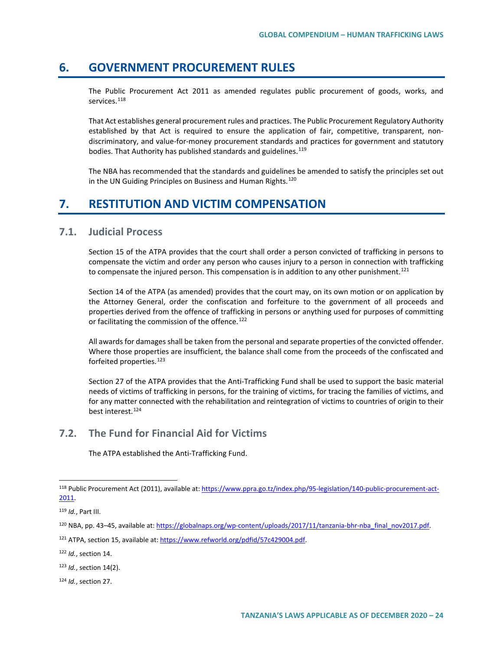# **6. GOVERNMENT PROCUREMENT RULES**

The Public Procurement Act 2011 as amended regulates public procurement of goods, works, and services.<sup>[118](#page-23-0)</sup>

That Act establishes general procurement rules and practices. The Public Procurement Regulatory Authority established by that Act is required to ensure the application of fair, competitive, transparent, nondiscriminatory, and value-for-money procurement standards and practices for government and statutory bodies. That Authority has published standards and guidelines.<sup>[119](#page-23-1)</sup>

The NBA has recommended that the standards and guidelines be amended to satisfy the principles set out in the UN Guiding Principles on Business and Human Rights.<sup>[120](#page-23-2)</sup>

# **7. RESTITUTION AND VICTIM COMPENSATION**

### **7.1. Judicial Process**

Section 15 of the ATPA provides that the court shall order a person convicted of trafficking in persons to compensate the victim and order any person who causes injury to a person in connection with trafficking to compensate the injured person. This compensation is in addition to any other punishment.<sup>[121](#page-23-3)</sup>

Section 14 of the ATPA (as amended) provides that the court may, on its own motion or on application by the Attorney General, order the confiscation and forfeiture to the government of all proceeds and properties derived from the offence of trafficking in persons or anything used for purposes of committing or facilitating the commission of the offence.<sup>[122](#page-23-4)</sup>

All awards for damages shall be taken from the personal and separate properties of the convicted offender. Where those properties are insufficient, the balance shall come from the proceeds of the confiscated and forfeited properties.<sup>[123](#page-23-5)</sup>

Section 27 of the ATPA provides that the Anti-Trafficking Fund shall be used to support the basic material needs of victims of trafficking in persons, for the training of victims, for tracing the families of victims, and for any matter connected with the rehabilitation and reintegration of victims to countries of origin to their best interest.<sup>[124](#page-23-6)</sup>

# **7.2. The Fund for Financial Aid for Victims**

The ATPA established the Anti-Trafficking Fund.

<span id="page-23-4"></span><sup>122</sup> *Id.*, section 14.

<span id="page-23-0"></span><sup>118</sup> Public Procurement Act (2011), available at[: https://www.ppra.go.tz/index.php/95-legislation/140-public-procurement-act-](https://www.ppra.go.tz/index.php/95-legislation/140-public-procurement-act-2011)[2011.](https://www.ppra.go.tz/index.php/95-legislation/140-public-procurement-act-2011)

<span id="page-23-1"></span><sup>119</sup> *Id.*, Part III.

<span id="page-23-2"></span><sup>120</sup> NBA, pp. 43-45, available at: https://globalnaps.org/wp-content/uploads/2017/11/tanzania-bhr-nba\_final\_nov2017.pdf.

<span id="page-23-3"></span><sup>121</sup> ATPA, section 15, available at: [https://www.refworld.org/pdfid/57c429004.pdf.](https://www.refworld.org/pdfid/57c429004.pdf) 

<span id="page-23-5"></span><sup>123</sup> *Id.*, section 14(2).

<span id="page-23-6"></span><sup>124</sup> *Id.*, section 27.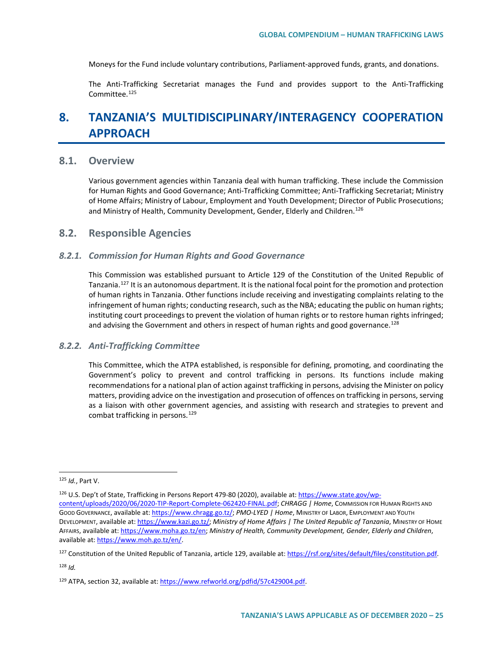Moneys for the Fund include voluntary contributions, Parliament-approved funds, grants, and donations.

The Anti-Trafficking Secretariat manages the Fund and provides support to the Anti-Trafficking Committee<sup>[125](#page-24-0)</sup>

# **8. TANZANIA'S MULTIDISCIPLINARY/INTERAGENCY COOPERATION APPROACH**

### **8.1. Overview**

Various government agencies within Tanzania deal with human trafficking. These include the Commission for Human Rights and Good Governance; Anti-Trafficking Committee; Anti-Trafficking Secretariat; Ministry of Home Affairs; Ministry of Labour, Employment and Youth Development; Director of Public Prosecutions; and Ministry of Health, Community Development, Gender, Elderly and Children.<sup>[126](#page-24-1)</sup>

### **8.2. Responsible Agencies**

#### *8.2.1. Commission for Human Rights and Good Governance*

This Commission was established pursuant to Article 129 of the Constitution of the United Republic of Tanzania.<sup>[127](#page-24-2)</sup> It is an autonomous department. It is the national focal point for the promotion and protection of human rights in Tanzania. Other functions include receiving and investigating complaints relating to the infringement of human rights; conducting research, such as the NBA; educating the public on human rights; instituting court proceedings to prevent the violation of human rights or to restore human rights infringed; and advising the Government and others in respect of human rights and good governance.<sup>[128](#page-24-3)</sup>

### *8.2.2. Anti-Trafficking Committee*

This Committee, which the ATPA established, is responsible for defining, promoting, and coordinating the Government's policy to prevent and control trafficking in persons. Its functions include making recommendations for a national plan of action against trafficking in persons, advising the Minister on policy matters, providing advice on the investigation and prosecution of offences on trafficking in persons, serving as a liaison with other government agencies, and assisting with research and strategies to prevent and combat trafficking in persons.[129](#page-24-4)

<span id="page-24-3"></span><sup>128</sup> *Id.*

<span id="page-24-0"></span> <sup>125</sup> *Id.*, Part V.

<span id="page-24-1"></span><sup>&</sup>lt;sup>126</sup> U.S. Dep't of State, Trafficking in Persons Report 479-80 (2020), available at: [https://www.state.gov/wp](https://www.state.gov/wp-content/uploads/2020/06/2020-TIP-Report-Complete-062420-FINAL.pdf)[content/uploads/2020/06/2020-TIP-Report-Complete-062420-FINAL.pdf;](https://www.state.gov/wp-content/uploads/2020/06/2020-TIP-Report-Complete-062420-FINAL.pdf) *CHRAGG | Home*, COMMISSION FOR HUMAN RIGHTS AND GOOD GOVERNANCE, available at[: https://www.chragg.go.tz/;](https://www.chragg.go.tz/) *PMO-LYED | Home*, MINISTRY OF LABOR, EMPLOYMENT AND YOUTH DEVELOPMENT, available at[: https://www.kazi.go.tz/;](https://www.kazi.go.tz/) *Ministry of Home Affairs | The United Republic of Tanzania*, MINISTRY OF HOME AFFAIRS, available at: [https://www.moha.go.tz/en;](https://www.moha.go.tz/en) *Ministry of Health, Community Development, Gender, Elderly and Children*, available at[: https://www.moh.go.tz/en/.](https://www.moh.go.tz/en/)

<span id="page-24-2"></span><sup>127</sup> Constitution of the United Republic of Tanzania, article 129, available at: [https://rsf.org/sites/default/files/constitution.pdf.](https://rsf.org/sites/default/files/constitution.pdf)

<span id="page-24-4"></span><sup>129</sup> ATPA, section 32, available at: [https://www.refworld.org/pdfid/57c429004.pdf.](https://www.refworld.org/pdfid/57c429004.pdf)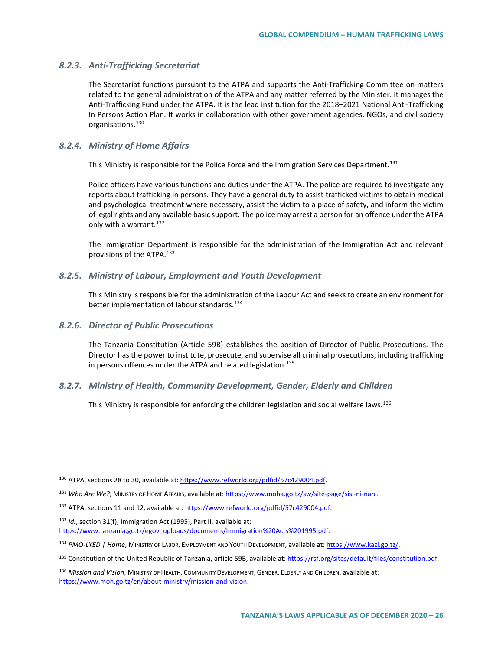### *8.2.3. Anti-Trafficking Secretariat*

The Secretariat functions pursuant to the ATPA and supports the Anti-Trafficking Committee on matters related to the general administration of the ATPA and any matter referred by the Minister. It manages the Anti-Trafficking Fund under the ATPA. It is the lead institution for the 2018–2021 National Anti-Trafficking In Persons Action Plan. It works in collaboration with other government agencies, NGOs, and civil society organisations.<sup>[130](#page-25-0)</sup>

### *8.2.4. Ministry of Home Affairs*

This Ministry is responsible for the Police Force and the Immigration Services Department.<sup>[131](#page-25-1)</sup>

Police officers have various functions and duties under the ATPA. The police are required to investigate any reports about trafficking in persons. They have a general duty to assist trafficked victims to obtain medical and psychological treatment where necessary, assist the victim to a place of safety, and inform the victim of legal rights and any available basic support. The police may arrest a person for an offence under the ATPA only with a warrant.<sup>[132](#page-25-2)</sup>

The Immigration Department is responsible for the administration of the Immigration Act and relevant provisions of the ATPA.[133](#page-25-3)

### *8.2.5. Ministry of Labour, Employment and Youth Development*

This Ministry is responsible for the administration of the Labour Act and seeks to create an environment for better implementation of labour standards.<sup>134</sup>

### *8.2.6. Director of Public Prosecutions*

The Tanzania Constitution (Article 59B) establishes the position of Director of Public Prosecutions. The Director has the power to institute, prosecute, and supervise all criminal prosecutions, including trafficking in persons offences under the ATPA and related legislation.<sup>[135](#page-25-5)</sup>

### *8.2.7. Ministry of Health, Community Development, Gender, Elderly and Children*

This Ministry is responsible for enforcing the children legislation and social welfare laws.<sup>[136](#page-25-6)</sup>

<span id="page-25-0"></span> <sup>130</sup> ATPA, sections 28 to 30, available at[: https://www.refworld.org/pdfid/57c429004.pdf.](https://www.refworld.org/pdfid/57c429004.pdf)

<span id="page-25-1"></span><sup>131</sup> *Who Are We?*, MINISTRY OF HOME AFFAIRS, available at[: https://www.moha.go.tz/sw/site-page/sisi-ni-nani.](https://www.moha.go.tz/sw/site-page/sisi-ni-nani)

<span id="page-25-2"></span><sup>132</sup> ATPA, sections 11 and 12, available at[: https://www.refworld.org/pdfid/57c429004.pdf.](https://www.refworld.org/pdfid/57c429004.pdf)

<span id="page-25-3"></span><sup>133</sup> *Id.*, section 31(f); Immigration Act (1995), Part II, available at: [https://www.tanzania.go.tz/egov\\_uploads/documents/Immigration%20Acts%201995.pdf.](https://www.tanzania.go.tz/egov_uploads/documents/Immigration%20Acts%201995.pdf)

<span id="page-25-4"></span><sup>134</sup> *PMO-LYED | Home*, MINISTRY OF LABOR, EMPLOYMENT AND YOUTH DEVELOPMENT, available at[: https://www.kazi.go.tz/.](https://www.kazi.go.tz/)

<span id="page-25-5"></span><sup>135</sup> Constitution of the United Republic of Tanzania, article 59B, available at: https://rsf.org/sites/default/files/constitution.pdf.

<span id="page-25-6"></span><sup>136</sup> *Mission and Vision*, MINISTRY OF HEALTH, COMMUNITY DEVELOPMENT, GENDER, ELDERLY AND CHILDREN, available at: [https://www.moh.go.tz/en/about-ministry/mission-and-vision.](https://www.moh.go.tz/en/about-ministry/mission-and-vision)